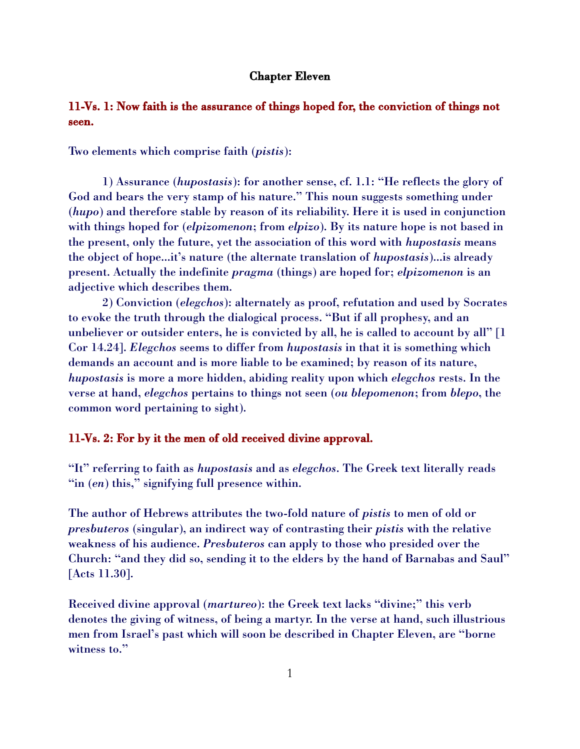#### Chapter Eleven

## 11-Vs. 1: Now faith is the assurance of things hoped for, the conviction of things not seen.

Two elements which comprise faith (*pistis*):

1) Assurance (*hupostasis*): for another sense, cf. 1.1: "He reflects the glory of God and bears the very stamp of his nature." This noun suggests something under (*hupo*) and therefore stable by reason of its reliability. Here it is used in conjunction with things hoped for (*elpizomenon*; from *elpizo*). By its nature hope is not based in the present, only the future, yet the association of this word with *hupostasis* means the object of hope...it's nature (the alternate translation of *hupostasis*)...is already present. Actually the indefinite *pragma* (things) are hoped for; *elpizomenon* is an adjective which describes them.

2) Conviction (*elegchos*): alternately as proof, refutation and used by Socrates to evoke the truth through the dialogical process. "But if all prophesy, and an unbeliever or outsider enters, he is convicted by all, he is called to account by all" [1 Cor 14.24]. *Elegchos* seems to differ from *hupostasis* in that it is something which demands an account and is more liable to be examined; by reason of its nature, *hupostasis* is more a more hidden, abiding reality upon which *elegchos* rests. In the verse at hand, *elegchos* pertains to things not seen (*ou blepomenon*; from *blepo*, the common word pertaining to sight).

#### 11-Vs. 2: For by it the men of old received divine approval.

"It" referring to faith as *hupostasis* and as *elegchos*. The Greek text literally reads "in (*en*) this," signifying full presence within.

The author of Hebrews attributes the two-fold nature of *pistis* to men of old or *presbuteros* (singular), an indirect way of contrasting their *pistis* with the relative weakness of his audience. *Presbuteros* can apply to those who presided over the Church: "and they did so, sending it to the elders by the hand of Barnabas and Saul" [Acts 11.30].

Received divine approval (*martureo*): the Greek text lacks "divine;" this verb denotes the giving of witness, of being a martyr. In the verse at hand, such illustrious men from Israel's past which will soon be described in Chapter Eleven, are "borne witness to."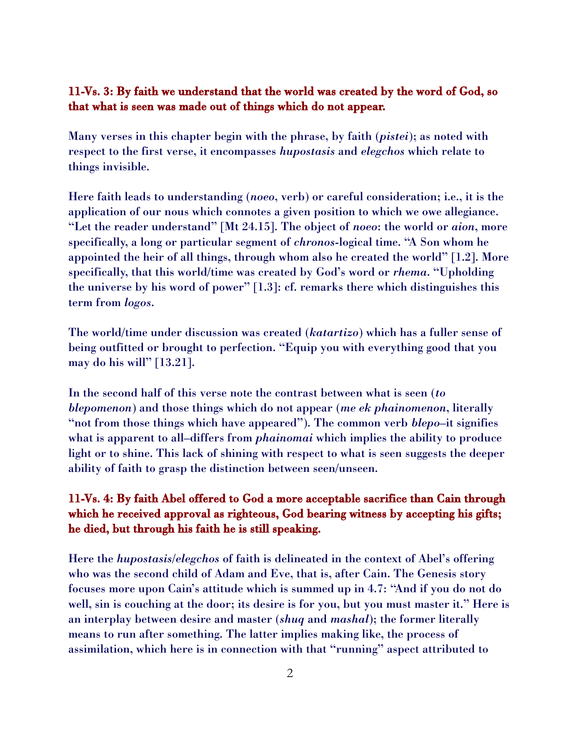#### 11-Vs. 3: By faith we understand that the world was created by the word of God, so that what is seen was made out of things which do not appear.

Many verses in this chapter begin with the phrase, by faith (*pistei*); as noted with respect to the first verse, it encompasses *hupostasis* and *elegchos* which relate to things invisible.

Here faith leads to understanding (*noeo*, verb) or careful consideration; i.e., it is the application of our nous which connotes a given position to which we owe allegiance. "Let the reader understand" [Mt 24.15]. The object of *noeo*: the world or *aion*, more specifically, a long or particular segment of *chronos*-logical time. "A Son whom he appointed the heir of all things, through whom also he created the world" [1.2]. More specifically, that this world/time was created by God's word or *rhema*. "Upholding the universe by his word of power" [1.3]: cf. remarks there which distinguishes this term from *logos*.

The world/time under discussion was created (*katartizo*) which has a fuller sense of being outfitted or brought to perfection. "Equip you with everything good that you may do his will" [13.21].

In the second half of this verse note the contrast between what is seen (*to blepomenon*) and those things which do not appear (*me ek phainomenon*, literally "not from those things which have appeared"). The common verb *blepo*–it signifies what is apparent to all–differs from *phainomai* which implies the ability to produce light or to shine. This lack of shining with respect to what is seen suggests the deeper ability of faith to grasp the distinction between seen/unseen.

# 11-Vs. 4: By faith Abel offered to God a more acceptable sacrifice than Cain through which he received approval as righteous, God bearing witness by accepting his gifts; he died, but through his faith he is still speaking.

Here the *hupostasis*/*elegchos* of faith is delineated in the context of Abel's offering who was the second child of Adam and Eve, that is, after Cain. The Genesis story focuses more upon Cain's attitude which is summed up in 4.7: "And if you do not do well, sin is couching at the door; its desire is for you, but you must master it." Here is an interplay between desire and master (*shuq* and *mashal*); the former literally means to run after something. The latter implies making like, the process of assimilation, which here is in connection with that "running" aspect attributed to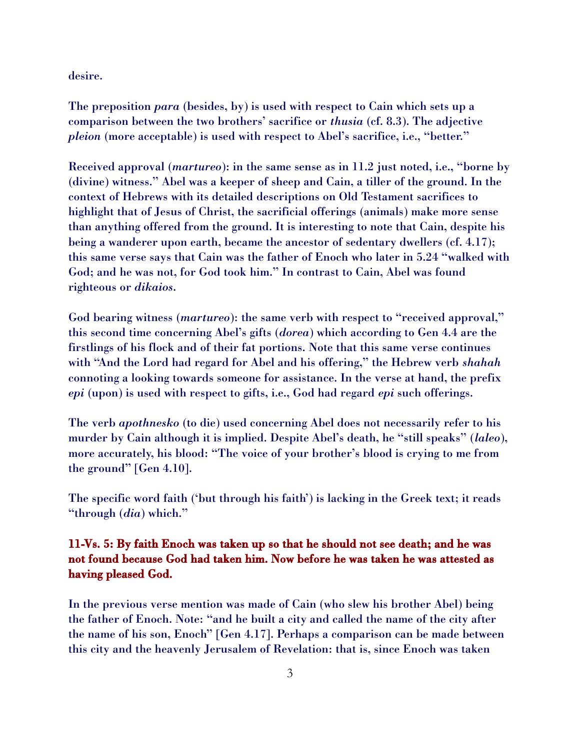desire.

The preposition *para* (besides, by) is used with respect to Cain which sets up a comparison between the two brothers' sacrifice or *thusia* (cf. 8.3). The adjective *pleion* (more acceptable) is used with respect to Abel's sacrifice, i.e., "better."

Received approval (*martureo*): in the same sense as in 11.2 just noted, i.e., "borne by (divine) witness." Abel was a keeper of sheep and Cain, a tiller of the ground. In the context of Hebrews with its detailed descriptions on Old Testament sacrifices to highlight that of Jesus of Christ, the sacrificial offerings (animals) make more sense than anything offered from the ground. It is interesting to note that Cain, despite his being a wanderer upon earth, became the ancestor of sedentary dwellers (cf. 4.17); this same verse says that Cain was the father of Enoch who later in 5.24 "walked with God; and he was not, for God took him." In contrast to Cain, Abel was found righteous or *dikaios*.

God bearing witness (*martureo*): the same verb with respect to "received approval," this second time concerning Abel's gifts (*dorea*) which according to Gen 4.4 are the firstlings of his flock and of their fat portions. Note that this same verse continues with "And the Lord had regard for Abel and his offering," the Hebrew verb *shahah* connoting a looking towards someone for assistance. In the verse at hand, the prefix *epi* (upon) is used with respect to gifts, i.e., God had regard *epi* such offerings.

The verb *apothnesko* (to die) used concerning Abel does not necessarily refer to his murder by Cain although it is implied. Despite Abel's death, he "still speaks" (*laleo*), more accurately, his blood: "The voice of your brother's blood is crying to me from the ground" [Gen 4.10].

The specific word faith ('but through his faith') is lacking in the Greek text; it reads "through (*dia*) which."

# 11-Vs. 5: By faith Enoch was taken up so that he should not see death; and he was not found because God had taken him. Now before he was taken he was attested as having pleased God.

In the previous verse mention was made of Cain (who slew his brother Abel) being the father of Enoch. Note: "and he built a city and called the name of the city after the name of his son, Enoch" [Gen 4.17]. Perhaps a comparison can be made between this city and the heavenly Jerusalem of Revelation: that is, since Enoch was taken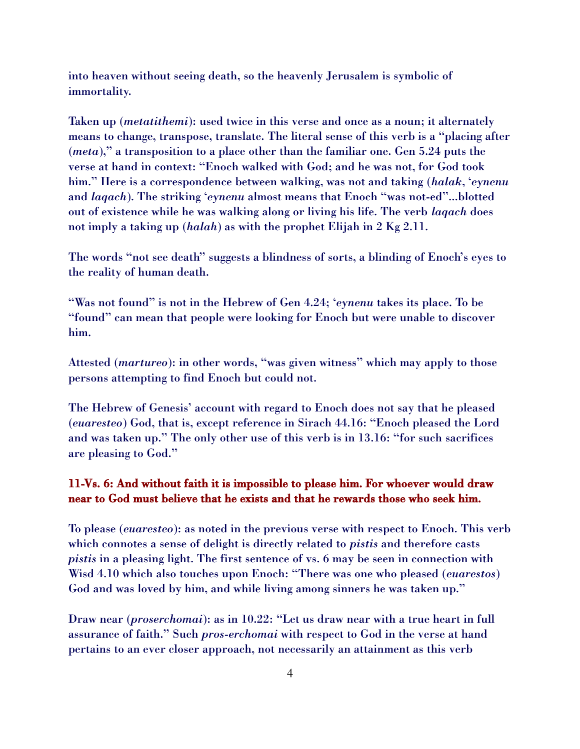into heaven without seeing death, so the heavenly Jerusalem is symbolic of immortality.

Taken up (*metatithemi*): used twice in this verse and once as a noun; it alternately means to change, transpose, translate. The literal sense of this verb is a "placing after (*meta*)," a transposition to a place other than the familiar one. Gen 5.24 puts the verse at hand in context: "Enoch walked with God; and he was not, for God took him." Here is a correspondence between walking, was not and taking (*halak*, '*eynenu* and *laqach*). The striking '*eynenu* almost means that Enoch "was not-ed"...blotted out of existence while he was walking along or living his life. The verb *laqach* does not imply a taking up (*halah*) as with the prophet Elijah in 2 Kg 2.11.

The words "not see death" suggests a blindness of sorts, a blinding of Enoch's eyes to the reality of human death.

"Was not found" is not in the Hebrew of Gen 4.24; '*eynenu* takes its place. To be "found" can mean that people were looking for Enoch but were unable to discover him.

Attested (*martureo*): in other words, "was given witness" which may apply to those persons attempting to find Enoch but could not.

The Hebrew of Genesis' account with regard to Enoch does not say that he pleased (*euaresteo*) God, that is, except reference in Sirach 44.16: "Enoch pleased the Lord and was taken up." The only other use of this verb is in 13.16: "for such sacrifices are pleasing to God."

### 11-Vs. 6: And without faith it is impossible to please him. For whoever would draw near to God must believe that he exists and that he rewards those who seek him.

To please (*euaresteo*): as noted in the previous verse with respect to Enoch. This verb which connotes a sense of delight is directly related to *pistis* and therefore casts *pistis* in a pleasing light. The first sentence of vs. 6 may be seen in connection with Wisd 4.10 which also touches upon Enoch: "There was one who pleased (*euarestos*) God and was loved by him, and while living among sinners he was taken up."

Draw near (*proserchomai*): as in 10.22: "Let us draw near with a true heart in full assurance of faith." Such *pros*-*erchomai* with respect to God in the verse at hand pertains to an ever closer approach, not necessarily an attainment as this verb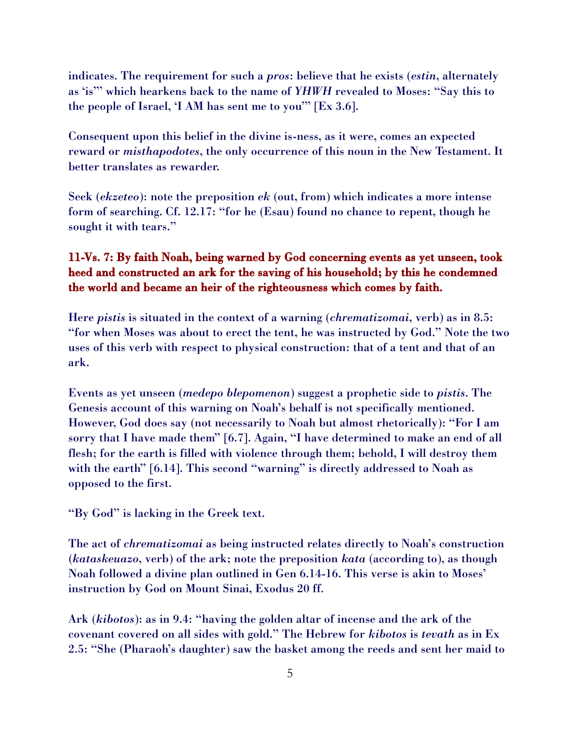indicates. The requirement for such a *pros*: believe that he exists (*estin*, alternately as 'is"' which hearkens back to the name of *YHWH* revealed to Moses: "Say this to the people of Israel, 'I AM has sent me to you'" [Ex 3.6].

Consequent upon this belief in the divine is-ness, as it were, comes an expected reward or *misthapodotes*, the only occurrence of this noun in the New Testament. It better translates as rewarder.

Seek (*ekzeteo*): note the preposition *ek* (out, from) which indicates a more intense form of searching. Cf. 12.17: "for he (Esau) found no chance to repent, though he sought it with tears."

## 11-Vs. 7: By faith Noah, being warned by God concerning events as yet unseen, took heed and constructed an ark for the saving of his household; by this he condemned the world and became an heir of the righteousness which comes by faith.

Here *pistis* is situated in the context of a warning (*chrematizomai*, verb) as in 8.5: "for when Moses was about to erect the tent, he was instructed by God." Note the two uses of this verb with respect to physical construction: that of a tent and that of an ark.

Events as yet unseen (*medepo blepomenon*) suggest a prophetic side to *pistis*. The Genesis account of this warning on Noah's behalf is not specifically mentioned. However, God does say (not necessarily to Noah but almost rhetorically): "For I am sorry that I have made them" [6.7]. Again, "I have determined to make an end of all flesh; for the earth is filled with violence through them; behold, I will destroy them with the earth" [6.14]. This second "warning" is directly addressed to Noah as opposed to the first.

"By God" is lacking in the Greek text.

The act of *chrematizomai* as being instructed relates directly to Noah's construction (*kataskeuazo*, verb) of the ark; note the preposition *kata* (according to), as though Noah followed a divine plan outlined in Gen 6.14-16. This verse is akin to Moses' instruction by God on Mount Sinai, Exodus 20 ff.

Ark (*kibotos*): as in 9.4: "having the golden altar of incense and the ark of the covenant covered on all sides with gold." The Hebrew for *kibotos* is *tevath* as in Ex 2.5: "She (Pharaoh's daughter) saw the basket among the reeds and sent her maid to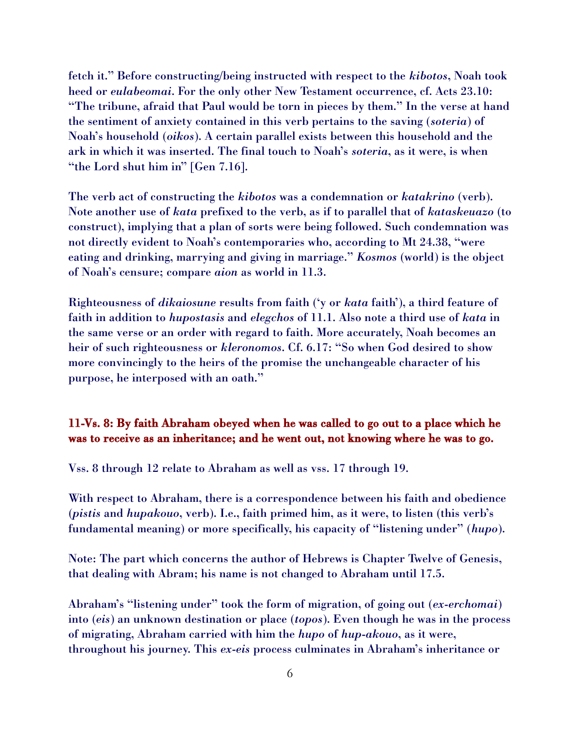fetch it." Before constructing/being instructed with respect to the *kibotos*, Noah took heed or *eulabeomai*. For the only other New Testament occurrence, cf. Acts 23.10: "The tribune, afraid that Paul would be torn in pieces by them." In the verse at hand the sentiment of anxiety contained in this verb pertains to the saving (*soteria*) of Noah's household (*oikos*). A certain parallel exists between this household and the ark in which it was inserted. The final touch to Noah's *soteria*, as it were, is when "the Lord shut him in" [Gen 7.16].

The verb act of constructing the *kibotos* was a condemnation or *katakrino* (verb). Note another use of *kata* prefixed to the verb, as if to parallel that of *kataskeuazo* (to construct), implying that a plan of sorts were being followed. Such condemnation was not directly evident to Noah's contemporaries who, according to Mt 24.38, "were eating and drinking, marrying and giving in marriage." *Kosmos* (world) is the object of Noah's censure; compare *aion* as world in 11.3.

Righteousness of *dikaiosune* results from faith ('y or *kata* faith'), a third feature of faith in addition to *hupostasis* and *elegchos* of 11.1. Also note a third use of *kata* in the same verse or an order with regard to faith. More accurately, Noah becomes an heir of such righteousness or *kleronomos*. Cf. 6.17: "So when God desired to show more convincingly to the heirs of the promise the unchangeable character of his purpose, he interposed with an oath."

## 11-Vs. 8: By faith Abraham obeyed when he was called to go out to a place which he was to receive as an inheritance; and he went out, not knowing where he was to go.

Vss. 8 through 12 relate to Abraham as well as vss. 17 through 19.

With respect to Abraham, there is a correspondence between his faith and obedience (*pistis* and *hupakouo*, verb). I.e., faith primed him, as it were, to listen (this verb's fundamental meaning) or more specifically, his capacity of "listening under" (*hupo*).

Note: The part which concerns the author of Hebrews is Chapter Twelve of Genesis, that dealing with Abram; his name is not changed to Abraham until 17.5.

Abraham's "listening under" took the form of migration, of going out (*ex*-*erchomai*) into (*eis*) an unknown destination or place (*topos*). Even though he was in the process of migrating, Abraham carried with him the *hupo* of *hup*-*akouo*, as it were, throughout his journey. This *ex*-*eis* process culminates in Abraham's inheritance or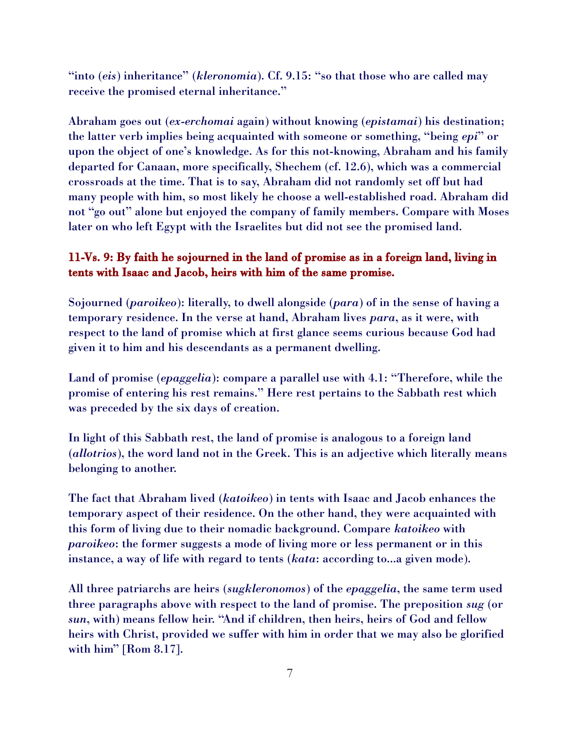"into (*eis*) inheritance" (*kleronomia*). Cf. 9.15: "so that those who are called may receive the promised eternal inheritance."

Abraham goes out (*ex*-*erchomai* again) without knowing (*epistamai*) his destination; the latter verb implies being acquainted with someone or something, "being *epi*" or upon the object of one's knowledge. As for this not-knowing, Abraham and his family departed for Canaan, more specifically, Shechem (cf. 12.6), which was a commercial crossroads at the time. That is to say, Abraham did not randomly set off but had many people with him, so most likely he choose a well-established road. Abraham did not "go out" alone but enjoyed the company of family members. Compare with Moses later on who left Egypt with the Israelites but did not see the promised land.

## 11-Vs. 9: By faith he sojourned in the land of promise as in a foreign land, living in tents with Isaac and Jacob, heirs with him of the same promise.

Sojourned (*paroikeo*): literally, to dwell alongside (*para*) of in the sense of having a temporary residence. In the verse at hand, Abraham lives *para*, as it were, with respect to the land of promise which at first glance seems curious because God had given it to him and his descendants as a permanent dwelling.

Land of promise (*epaggelia*): compare a parallel use with 4.1: "Therefore, while the promise of entering his rest remains." Here rest pertains to the Sabbath rest which was preceded by the six days of creation.

In light of this Sabbath rest, the land of promise is analogous to a foreign land (*allotrios*), the word land not in the Greek. This is an adjective which literally means belonging to another.

The fact that Abraham lived (*katoikeo*) in tents with Isaac and Jacob enhances the temporary aspect of their residence. On the other hand, they were acquainted with this form of living due to their nomadic background. Compare *katoikeo* with *paroikeo*: the former suggests a mode of living more or less permanent or in this instance, a way of life with regard to tents (*kata*: according to...a given mode).

All three patriarchs are heirs (*sugkleronomos*) of the *epaggelia*, the same term used three paragraphs above with respect to the land of promise. The preposition *sug* (or *sun*, with) means fellow heir. "And if children, then heirs, heirs of God and fellow heirs with Christ, provided we suffer with him in order that we may also be glorified with him" [Rom 8.17].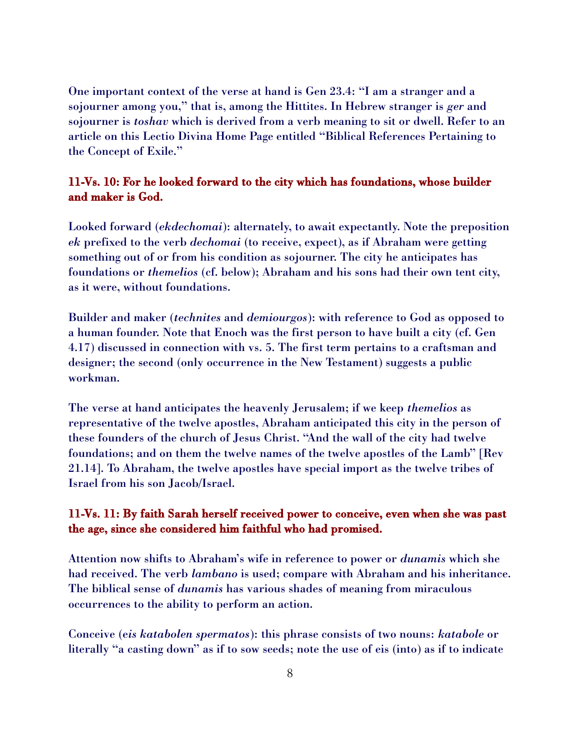One important context of the verse at hand is Gen 23.4: "I am a stranger and a sojourner among you," that is, among the Hittites. In Hebrew stranger is *ger* and sojourner is *toshav* which is derived from a verb meaning to sit or dwell. Refer to an article on this Lectio Divina Home Page entitled "Biblical References Pertaining to the Concept of Exile."

## 11-Vs. 10: For he looked forward to the city which has foundations, whose builder and maker is God.

Looked forward (*ekdechomai*): alternately, to await expectantly. Note the preposition *ek* prefixed to the verb *dechomai* (to receive, expect), as if Abraham were getting something out of or from his condition as sojourner. The city he anticipates has foundations or *themelios* (cf. below); Abraham and his sons had their own tent city, as it were, without foundations.

Builder and maker (*technites* and *demiourgos*): with reference to God as opposed to a human founder. Note that Enoch was the first person to have built a city (cf. Gen 4.17) discussed in connection with vs. 5. The first term pertains to a craftsman and designer; the second (only occurrence in the New Testament) suggests a public workman.

The verse at hand anticipates the heavenly Jerusalem; if we keep *themelios* as representative of the twelve apostles, Abraham anticipated this city in the person of these founders of the church of Jesus Christ. "And the wall of the city had twelve foundations; and on them the twelve names of the twelve apostles of the Lamb" [Rev 21.14]. To Abraham, the twelve apostles have special import as the twelve tribes of Israel from his son Jacob/Israel.

### 11-Vs. 11: By faith Sarah herself received power to conceive, even when she was past the age, since she considered him faithful who had promised.

Attention now shifts to Abraham's wife in reference to power or *dunamis* which she had received. The verb *lambano* is used; compare with Abraham and his inheritance. The biblical sense of *dunamis* has various shades of meaning from miraculous occurrences to the ability to perform an action.

Conceive (e*is katabolen spermatos*): this phrase consists of two nouns: *katabole* or literally "a casting down" as if to sow seeds; note the use of eis (into) as if to indicate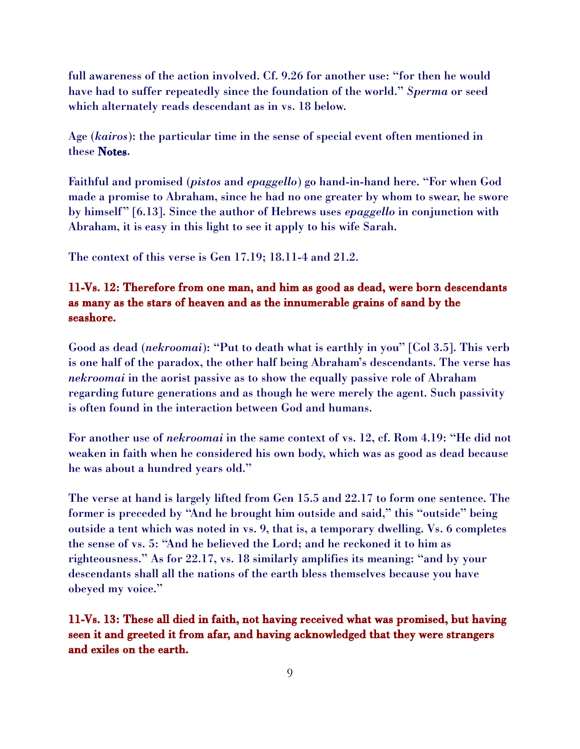full awareness of the action involved. Cf. 9.26 for another use: "for then he would have had to suffer repeatedly since the foundation of the world." *Sperma* or seed which alternately reads descendant as in vs. 18 below.

Age (*kairos*): the particular time in the sense of special event often mentioned in these Notes.

Faithful and promised (*pistos* and *epaggello*) go hand-in-hand here. "For when God made a promise to Abraham, since he had no one greater by whom to swear, he swore by himself" [6.13]. Since the author of Hebrews uses *epaggello* in conjunction with Abraham, it is easy in this light to see it apply to his wife Sarah.

The context of this verse is Gen 17.19; 18.11-4 and 21.2.

## 11-Vs. 12: Therefore from one man, and him as good as dead, were born descendants as many as the stars of heaven and as the innumerable grains of sand by the seashore.

Good as dead (*nekroomai*): "Put to death what is earthly in you" [Col 3.5]. This verb is one half of the paradox, the other half being Abraham's descendants. The verse has *nekroomai* in the aorist passive as to show the equally passive role of Abraham regarding future generations and as though he were merely the agent. Such passivity is often found in the interaction between God and humans.

For another use of *nekroomai* in the same context of vs. 12, cf. Rom 4.19: "He did not weaken in faith when he considered his own body, which was as good as dead because he was about a hundred years old."

The verse at hand is largely lifted from Gen 15.5 and 22.17 to form one sentence. The former is preceded by "And he brought him outside and said," this "outside" being outside a tent which was noted in vs. 9, that is, a temporary dwelling. Vs. 6 completes the sense of vs. 5: "And he believed the Lord; and he reckoned it to him as righteousness." As for 22.17, vs. 18 similarly amplifies its meaning: "and by your descendants shall all the nations of the earth bless themselves because you have obeyed my voice."

11-Vs. 13: These all died in faith, not having received what was promised, but having seen it and greeted it from afar, and having acknowledged that they were strangers and exiles on the earth.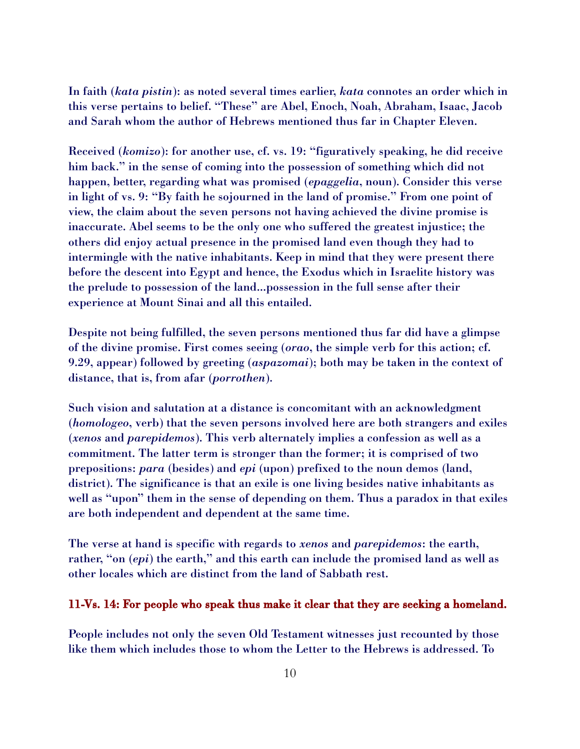In faith (*kata pistin*): as noted several times earlier, *kata* connotes an order which in this verse pertains to belief. "These" are Abel, Enoch, Noah, Abraham, Isaac, Jacob and Sarah whom the author of Hebrews mentioned thus far in Chapter Eleven.

Received (*komizo*): for another use, cf. vs. 19: "figuratively speaking, he did receive him back." in the sense of coming into the possession of something which did not happen, better, regarding what was promised (*epaggelia*, noun). Consider this verse in light of vs. 9: "By faith he sojourned in the land of promise." From one point of view, the claim about the seven persons not having achieved the divine promise is inaccurate. Abel seems to be the only one who suffered the greatest injustice; the others did enjoy actual presence in the promised land even though they had to intermingle with the native inhabitants. Keep in mind that they were present there before the descent into Egypt and hence, the Exodus which in Israelite history was the prelude to possession of the land...possession in the full sense after their experience at Mount Sinai and all this entailed.

Despite not being fulfilled, the seven persons mentioned thus far did have a glimpse of the divine promise. First comes seeing (*orao*, the simple verb for this action; cf. 9.29, appear) followed by greeting (*aspazomai*); both may be taken in the context of distance, that is, from afar (*porrothen*).

Such vision and salutation at a distance is concomitant with an acknowledgment (*homologeo*, verb) that the seven persons involved here are both strangers and exiles (*xenos* and *parepidemos*). This verb alternately implies a confession as well as a commitment. The latter term is stronger than the former; it is comprised of two prepositions: *para* (besides) and *epi* (upon) prefixed to the noun demos (land, district). The significance is that an exile is one living besides native inhabitants as well as "upon" them in the sense of depending on them. Thus a paradox in that exiles are both independent and dependent at the same time.

The verse at hand is specific with regards to *xenos* and *parepidemos*: the earth, rather, "on (*epi*) the earth," and this earth can include the promised land as well as other locales which are distinct from the land of Sabbath rest.

#### 11-Vs. 14: For people who speak thus make it clear that they are seeking a homeland.

People includes not only the seven Old Testament witnesses just recounted by those like them which includes those to whom the Letter to the Hebrews is addressed. To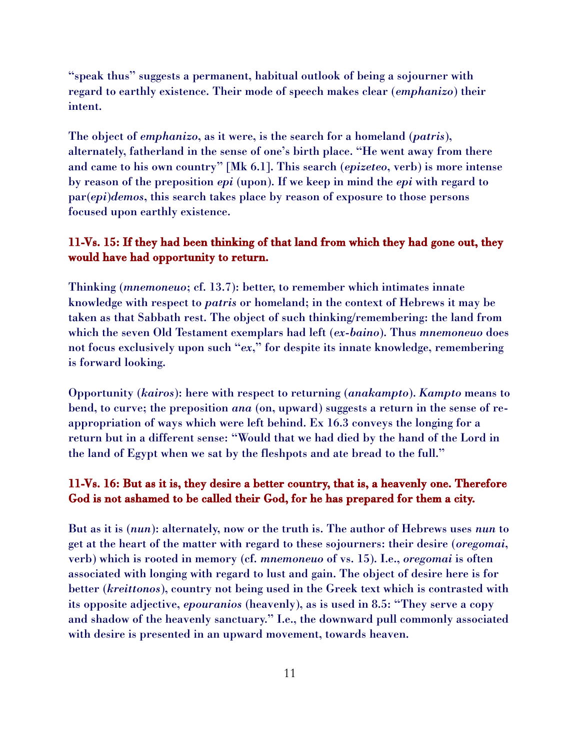"speak thus" suggests a permanent, habitual outlook of being a sojourner with regard to earthly existence. Their mode of speech makes clear (*emphanizo*) their intent.

The object of *emphanizo*, as it were, is the search for a homeland (*patris*), alternately, fatherland in the sense of one's birth place. "He went away from there and came to his own country" [Mk 6.1]. This search (*epizeteo*, verb) is more intense by reason of the preposition *epi* (upon). If we keep in mind the *epi* with regard to par(*epi*)*demos*, this search takes place by reason of exposure to those persons focused upon earthly existence.

### 11-Vs. 15: If they had been thinking of that land from which they had gone out, they would have had opportunity to return.

Thinking (*mnemoneuo*; cf. 13.7): better, to remember which intimates innate knowledge with respect to *patris* or homeland; in the context of Hebrews it may be taken as that Sabbath rest. The object of such thinking/remembering: the land from which the seven Old Testament exemplars had left (*ex*-*baino*). Thus *mnemoneuo* does not focus exclusively upon such "*ex*," for despite its innate knowledge, remembering is forward looking.

Opportunity (*kairos*): here with respect to returning (*anakampto*). *Kampto* means to bend, to curve; the preposition *ana* (on, upward) suggests a return in the sense of reappropriation of ways which were left behind. Ex 16.3 conveys the longing for a return but in a different sense: "Would that we had died by the hand of the Lord in the land of Egypt when we sat by the fleshpots and ate bread to the full."

## 11-Vs. 16: But as it is, they desire a better country, that is, a heavenly one. Therefore God is not ashamed to be called their God, for he has prepared for them a city.

But as it is (*nun*): alternately, now or the truth is. The author of Hebrews uses *nun* to get at the heart of the matter with regard to these sojourners: their desire (*oregomai*, verb) which is rooted in memory (cf. *mnemoneuo* of vs. 15). I.e., *oregomai* is often associated with longing with regard to lust and gain. The object of desire here is for better (*kreittonos*), country not being used in the Greek text which is contrasted with its opposite adjective, *epouranios* (heavenly), as is used in 8.5: "They serve a copy and shadow of the heavenly sanctuary." I.e., the downward pull commonly associated with desire is presented in an upward movement, towards heaven.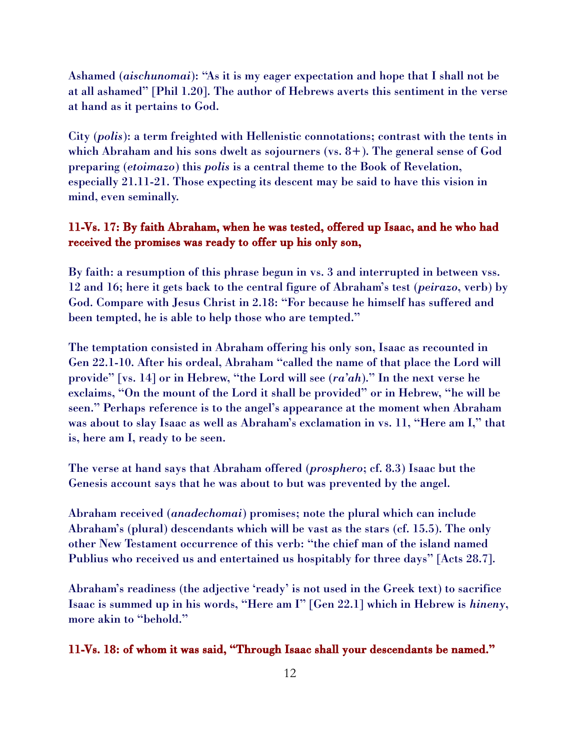Ashamed (*aischunomai*): "As it is my eager expectation and hope that I shall not be at all ashamed" [Phil 1.20]. The author of Hebrews averts this sentiment in the verse at hand as it pertains to God.

City (*polis*): a term freighted with Hellenistic connotations; contrast with the tents in which Abraham and his sons dwelt as sojourners (vs. 8+). The general sense of God preparing (*etoimazo*) this *polis* is a central theme to the Book of Revelation, especially 21.11-21. Those expecting its descent may be said to have this vision in mind, even seminally.

#### 11-Vs. 17: By faith Abraham, when he was tested, offered up Isaac, and he who had received the promises was ready to offer up his only son,

By faith: a resumption of this phrase begun in vs. 3 and interrupted in between vss. 12 and 16; here it gets back to the central figure of Abraham's test (*peirazo*, verb) by God. Compare with Jesus Christ in 2.18: "For because he himself has suffered and been tempted, he is able to help those who are tempted."

The temptation consisted in Abraham offering his only son, Isaac as recounted in Gen 22.1-10. After his ordeal, Abraham "called the name of that place the Lord will provide" [vs. 14] or in Hebrew, "the Lord will see (*ra'ah*)." In the next verse he exclaims, "On the mount of the Lord it shall be provided" or in Hebrew, "he will be seen." Perhaps reference is to the angel's appearance at the moment when Abraham was about to slay Isaac as well as Abraham's exclamation in vs. 11, "Here am I," that is, here am I, ready to be seen.

The verse at hand says that Abraham offered (*prosphero*; cf. 8.3) Isaac but the Genesis account says that he was about to but was prevented by the angel.

Abraham received (*anadechomai*) promises; note the plural which can include Abraham's (plural) descendants which will be vast as the stars (cf. 15.5). The only other New Testament occurrence of this verb: "the chief man of the island named Publius who received us and entertained us hospitably for three days" [Acts 28.7].

Abraham's readiness (the adjective 'ready' is not used in the Greek text) to sacrifice Isaac is summed up in his words, "Here am I" [Gen 22.1] which in Hebrew is *hineny*, more akin to "behold."

#### 11-Vs. 18: of whom it was said, "Through Isaac shall your descendants be named."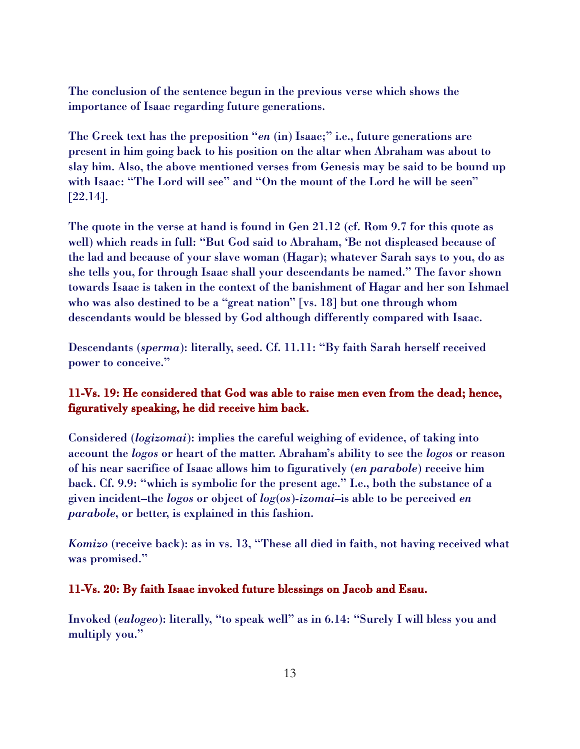The conclusion of the sentence begun in the previous verse which shows the importance of Isaac regarding future generations.

The Greek text has the preposition "*en* (in) Isaac;" i.e., future generations are present in him going back to his position on the altar when Abraham was about to slay him. Also, the above mentioned verses from Genesis may be said to be bound up with Isaac: "The Lord will see" and "On the mount of the Lord he will be seen" [22.14].

The quote in the verse at hand is found in Gen 21.12 (cf. Rom 9.7 for this quote as well) which reads in full: "But God said to Abraham, 'Be not displeased because of the lad and because of your slave woman (Hagar); whatever Sarah says to you, do as she tells you, for through Isaac shall your descendants be named." The favor shown towards Isaac is taken in the context of the banishment of Hagar and her son Ishmael who was also destined to be a "great nation" [vs. 18] but one through whom descendants would be blessed by God although differently compared with Isaac.

Descendants (*sperma*): literally, seed. Cf. 11.11: "By faith Sarah herself received power to conceive."

## 11-Vs. 19: He considered that God was able to raise men even from the dead; hence, figuratively speaking, he did receive him back.

Considered (*logizomai*): implies the careful weighing of evidence, of taking into account the *logos* or heart of the matter. Abraham's ability to see the *logos* or reason of his near sacrifice of Isaac allows him to figuratively (*en parabole*) receive him back. Cf. 9.9: "which is symbolic for the present age." I.e., both the substance of a given incident–the *logos* or object of *log*(*os*)-*izomai*–is able to be perceived *en parabole*, or better, is explained in this fashion.

*Komizo* (receive back): as in vs. 13, "These all died in faith, not having received what was promised."

## 11-Vs. 20: By faith Isaac invoked future blessings on Jacob and Esau.

Invoked (*eulogeo*): literally, "to speak well" as in 6.14: "Surely I will bless you and multiply you."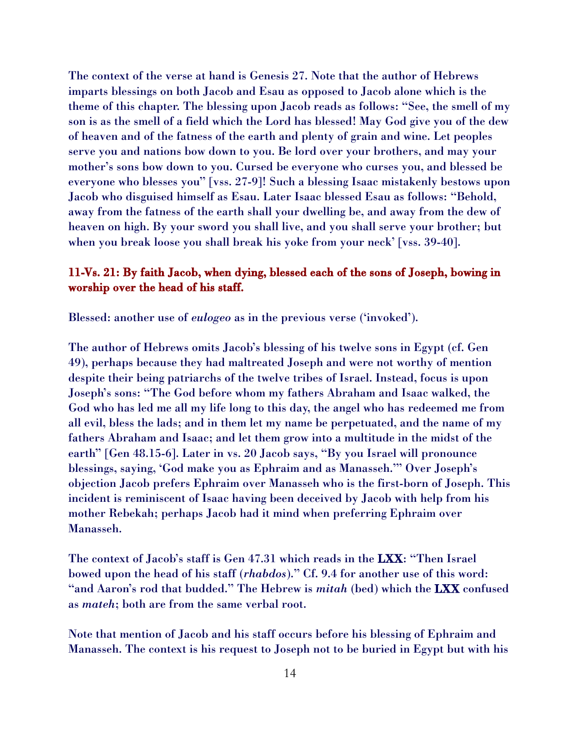The context of the verse at hand is Genesis 27. Note that the author of Hebrews imparts blessings on both Jacob and Esau as opposed to Jacob alone which is the theme of this chapter. The blessing upon Jacob reads as follows: "See, the smell of my son is as the smell of a field which the Lord has blessed! May God give you of the dew of heaven and of the fatness of the earth and plenty of grain and wine. Let peoples serve you and nations bow down to you. Be lord over your brothers, and may your mother's sons bow down to you. Cursed be everyone who curses you, and blessed be everyone who blesses you" [vss. 27-9]! Such a blessing Isaac mistakenly bestows upon Jacob who disguised himself as Esau. Later Isaac blessed Esau as follows: "Behold, away from the fatness of the earth shall your dwelling be, and away from the dew of heaven on high. By your sword you shall live, and you shall serve your brother; but when you break loose you shall break his yoke from your neck' [vss. 39-40].

## 11-Vs. 21: By faith Jacob, when dying, blessed each of the sons of Joseph, bowing in worship over the head of his staff.

Blessed: another use of *eulogeo* as in the previous verse ('invoked').

The author of Hebrews omits Jacob's blessing of his twelve sons in Egypt (cf. Gen 49), perhaps because they had maltreated Joseph and were not worthy of mention despite their being patriarchs of the twelve tribes of Israel. Instead, focus is upon Joseph's sons: "The God before whom my fathers Abraham and Isaac walked, the God who has led me all my life long to this day, the angel who has redeemed me from all evil, bless the lads; and in them let my name be perpetuated, and the name of my fathers Abraham and Isaac; and let them grow into a multitude in the midst of the earth" [Gen 48.15-6]. Later in vs. 20 Jacob says, "By you Israel will pronounce blessings, saying, 'God make you as Ephraim and as Manasseh.'" Over Joseph's objection Jacob prefers Ephraim over Manasseh who is the first-born of Joseph. This incident is reminiscent of Isaac having been deceived by Jacob with help from his mother Rebekah; perhaps Jacob had it mind when preferring Ephraim over Manasseh.

The context of Jacob's staff is Gen 47.31 which reads in the LXX: "Then Israel bowed upon the head of his staff (*rhabdos*)." Cf. 9.4 for another use of this word: "and Aaron's rod that budded." The Hebrew is *mitah* (bed) which the LXX confused as *mateh*; both are from the same verbal root.

Note that mention of Jacob and his staff occurs before his blessing of Ephraim and Manasseh. The context is his request to Joseph not to be buried in Egypt but with his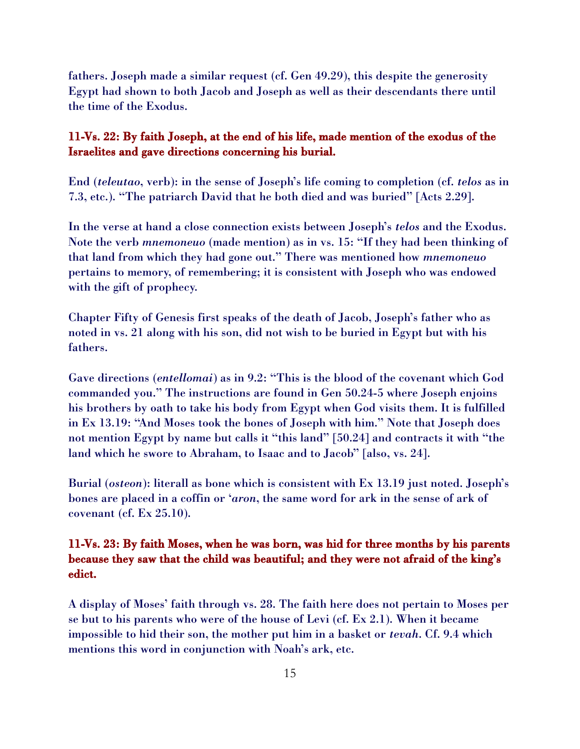fathers. Joseph made a similar request (cf. Gen 49.29), this despite the generosity Egypt had shown to both Jacob and Joseph as well as their descendants there until the time of the Exodus.

#### 11-Vs. 22: By faith Joseph, at the end of his life, made mention of the exodus of the Israelites and gave directions concerning his burial.

End (*teleutao*, verb): in the sense of Joseph's life coming to completion (cf. *telos* as in 7.3, etc.). "The patriarch David that he both died and was buried" [Acts 2.29].

In the verse at hand a close connection exists between Joseph's *telos* and the Exodus. Note the verb *mnemoneuo* (made mention) as in vs. 15: "If they had been thinking of that land from which they had gone out." There was mentioned how *mnemoneuo* pertains to memory, of remembering; it is consistent with Joseph who was endowed with the gift of prophecy.

Chapter Fifty of Genesis first speaks of the death of Jacob, Joseph's father who as noted in vs. 21 along with his son, did not wish to be buried in Egypt but with his fathers.

Gave directions (*entellomai*) as in 9.2: "This is the blood of the covenant which God commanded you." The instructions are found in Gen 50.24-5 where Joseph enjoins his brothers by oath to take his body from Egypt when God visits them. It is fulfilled in Ex 13.19: "And Moses took the bones of Joseph with him." Note that Joseph does not mention Egypt by name but calls it "this land" [50.24] and contracts it with "the land which he swore to Abraham, to Isaac and to Jacob" [also, vs. 24].

Burial (*osteon*): literall as bone which is consistent with Ex 13.19 just noted. Joseph's bones are placed in a coffin or '*aron*, the same word for ark in the sense of ark of covenant (cf. Ex 25.10).

## 11-Vs. 23: By faith Moses, when he was born, was hid for three months by his parents because they saw that the child was beautiful; and they were not afraid of the king's edict.

A display of Moses' faith through vs. 28. The faith here does not pertain to Moses per se but to his parents who were of the house of Levi (cf. Ex 2.1). When it became impossible to hid their son, the mother put him in a basket or *tevah*. Cf. 9.4 which mentions this word in conjunction with Noah's ark, etc.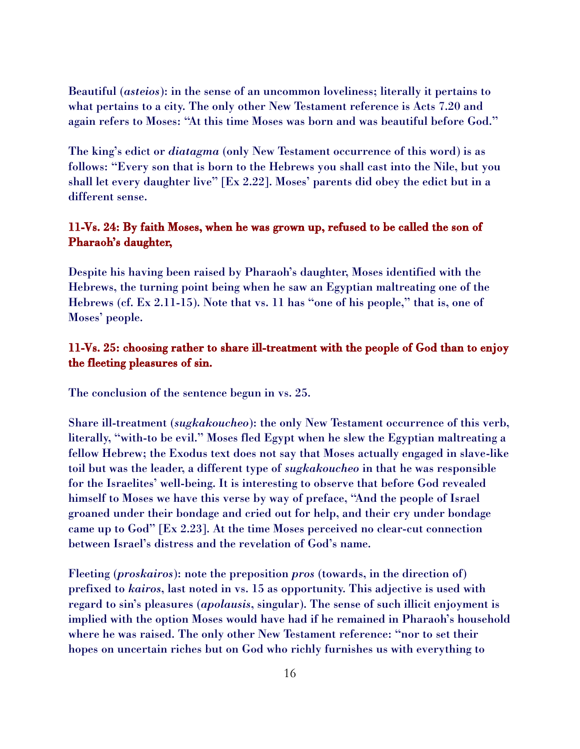Beautiful (*asteios*): in the sense of an uncommon loveliness; literally it pertains to what pertains to a city. The only other New Testament reference is Acts 7.20 and again refers to Moses: "At this time Moses was born and was beautiful before God."

The king's edict or *diatagma* (only New Testament occurrence of this word) is as follows: "Every son that is born to the Hebrews you shall cast into the Nile, but you shall let every daughter live" [Ex 2.22]. Moses' parents did obey the edict but in a different sense.

## 11-Vs. 24: By faith Moses, when he was grown up, refused to be called the son of Pharaoh's daughter,

Despite his having been raised by Pharaoh's daughter, Moses identified with the Hebrews, the turning point being when he saw an Egyptian maltreating one of the Hebrews (cf. Ex 2.11-15). Note that vs. 11 has "one of his people," that is, one of Moses' people.

## 11-Vs. 25: choosing rather to share ill-treatment with the people of God than to enjoy the fleeting pleasures of sin.

The conclusion of the sentence begun in vs. 25.

Share ill-treatment (*sugkakoucheo*): the only New Testament occurrence of this verb, literally, "with-to be evil." Moses fled Egypt when he slew the Egyptian maltreating a fellow Hebrew; the Exodus text does not say that Moses actually engaged in slave-like toil but was the leader, a different type of *sugkakoucheo* in that he was responsible for the Israelites' well-being. It is interesting to observe that before God revealed himself to Moses we have this verse by way of preface, "And the people of Israel groaned under their bondage and cried out for help, and their cry under bondage came up to God" [Ex 2.23]. At the time Moses perceived no clear-cut connection between Israel's distress and the revelation of God's name.

Fleeting (*proskairos*): note the preposition *pros* (towards, in the direction of) prefixed to *kairos*, last noted in vs. 15 as opportunity. This adjective is used with regard to sin's pleasures (*apolausis*, singular). The sense of such illicit enjoyment is implied with the option Moses would have had if he remained in Pharaoh's household where he was raised. The only other New Testament reference: "nor to set their hopes on uncertain riches but on God who richly furnishes us with everything to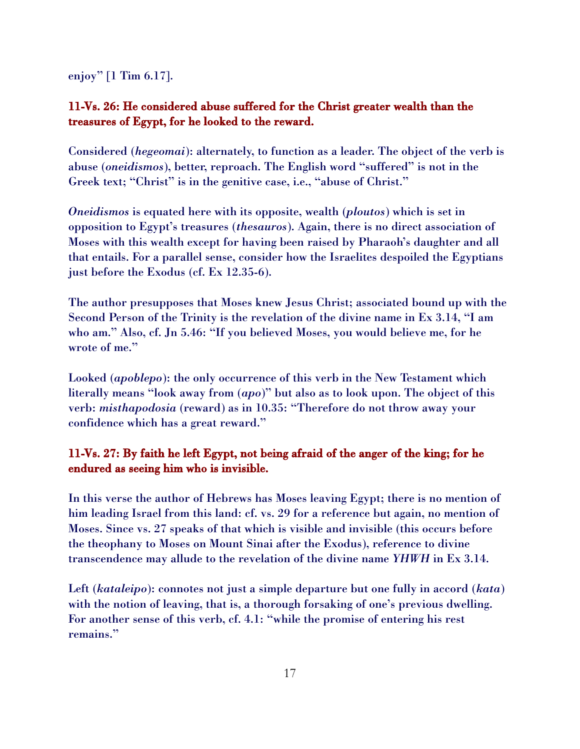enjoy" [1 Tim 6.17].

# 11-Vs. 26: He considered abuse suffered for the Christ greater wealth than the treasures of Egypt, for he looked to the reward.

Considered (*hegeomai*): alternately, to function as a leader. The object of the verb is abuse (*oneidismos*), better, reproach. The English word "suffered" is not in the Greek text; "Christ" is in the genitive case, i.e., "abuse of Christ."

*Oneidismos* is equated here with its opposite, wealth (*ploutos*) which is set in opposition to Egypt's treasures (*thesauros*). Again, there is no direct association of Moses with this wealth except for having been raised by Pharaoh's daughter and all that entails. For a parallel sense, consider how the Israelites despoiled the Egyptians just before the Exodus (cf. Ex 12.35-6).

The author presupposes that Moses knew Jesus Christ; associated bound up with the Second Person of the Trinity is the revelation of the divine name in Ex 3.14, "I am who am." Also, cf. Jn 5.46: "If you believed Moses, you would believe me, for he wrote of me."

Looked (*apoblepo*): the only occurrence of this verb in the New Testament which literally means "look away from (*apo*)" but also as to look upon. The object of this verb: *misthapodosia* (reward) as in 10.35: "Therefore do not throw away your confidence which has a great reward."

# 11-Vs. 27: By faith he left Egypt, not being afraid of the anger of the king; for he endured as seeing him who is invisible.

In this verse the author of Hebrews has Moses leaving Egypt; there is no mention of him leading Israel from this land: cf. vs. 29 for a reference but again, no mention of Moses. Since vs. 27 speaks of that which is visible and invisible (this occurs before the theophany to Moses on Mount Sinai after the Exodus), reference to divine transcendence may allude to the revelation of the divine name *YHWH* in Ex 3.14.

Left (*kataleipo*): connotes not just a simple departure but one fully in accord (*kata*) with the notion of leaving, that is, a thorough forsaking of one's previous dwelling. For another sense of this verb, cf. 4.1: "while the promise of entering his rest remains."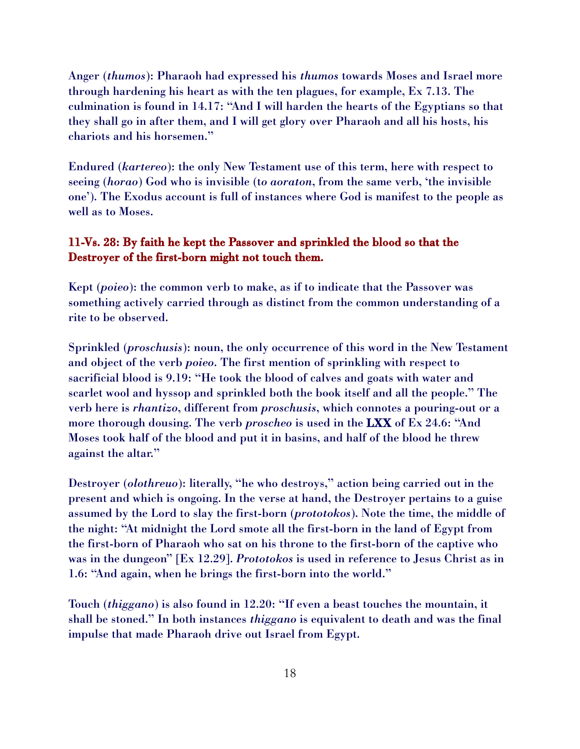Anger (*thumos*): Pharaoh had expressed his *thumos* towards Moses and Israel more through hardening his heart as with the ten plagues, for example, Ex 7.13. The culmination is found in 14.17: "And I will harden the hearts of the Egyptians so that they shall go in after them, and I will get glory over Pharaoh and all his hosts, his chariots and his horsemen."

Endured (*kartereo*): the only New Testament use of this term, here with respect to seeing (*horao*) God who is invisible (t*o aoraton*, from the same verb, 'the invisible one'). The Exodus account is full of instances where God is manifest to the people as well as to Moses.

### 11-Vs. 28: By faith he kept the Passover and sprinkled the blood so that the Destroyer of the first-born might not touch them.

Kept (*poieo*): the common verb to make, as if to indicate that the Passover was something actively carried through as distinct from the common understanding of a rite to be observed.

Sprinkled (*proschusis*): noun, the only occurrence of this word in the New Testament and object of the verb *poieo*. The first mention of sprinkling with respect to sacrificial blood is 9.19: "He took the blood of calves and goats with water and scarlet wool and hyssop and sprinkled both the book itself and all the people." The verb here is *rhantizo*, different from *proschusis*, which connotes a pouring-out or a more thorough dousing. The verb *proscheo* is used in the LXX of Ex 24.6: "And Moses took half of the blood and put it in basins, and half of the blood he threw against the altar."

Destroyer (*olothreuo*): literally, "he who destroys," action being carried out in the present and which is ongoing. In the verse at hand, the Destroyer pertains to a guise assumed by the Lord to slay the first-born (*prototokos*). Note the time, the middle of the night: "At midnight the Lord smote all the first-born in the land of Egypt from the first-born of Pharaoh who sat on his throne to the first-born of the captive who was in the dungeon" [Ex 12.29]. *Prototokos* is used in reference to Jesus Christ as in 1.6: "And again, when he brings the first-born into the world."

Touch (*thiggano*) is also found in 12.20: "If even a beast touches the mountain, it shall be stoned." In both instances *thiggano* is equivalent to death and was the final impulse that made Pharaoh drive out Israel from Egypt.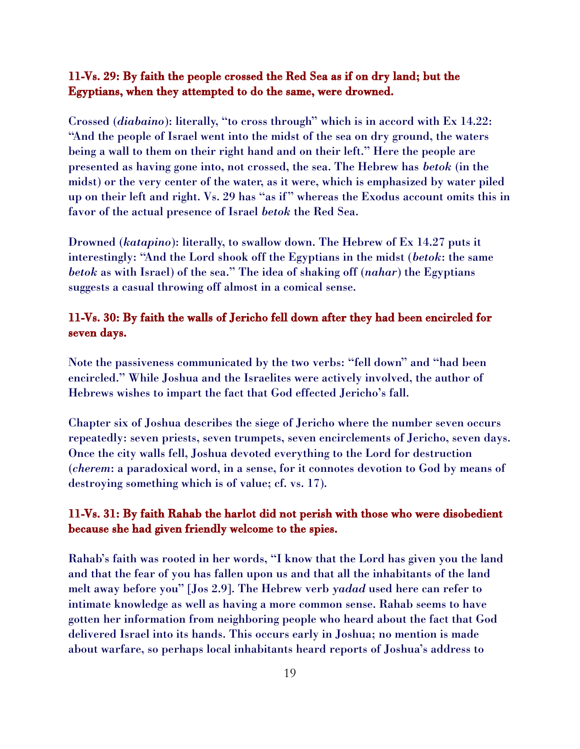## 11-Vs. 29: By faith the people crossed the Red Sea as if on dry land; but the Egyptians, when they attempted to do the same, were drowned.

Crossed (*diabaino*): literally, "to cross through" which is in accord with Ex 14.22: "And the people of Israel went into the midst of the sea on dry ground, the waters being a wall to them on their right hand and on their left." Here the people are presented as having gone into, not crossed, the sea. The Hebrew has *betok* (in the midst) or the very center of the water, as it were, which is emphasized by water piled up on their left and right. Vs. 29 has "as if" whereas the Exodus account omits this in favor of the actual presence of Israel *betok* the Red Sea.

Drowned (*katapino*): literally, to swallow down. The Hebrew of Ex 14.27 puts it interestingly: "And the Lord shook off the Egyptians in the midst (*betok*: the same *betok* as with Israel) of the sea." The idea of shaking off (*nahar*) the Egyptians suggests a casual throwing off almost in a comical sense.

## 11-Vs. 30: By faith the walls of Jericho fell down after they had been encircled for seven days.

Note the passiveness communicated by the two verbs: "fell down" and "had been encircled." While Joshua and the Israelites were actively involved, the author of Hebrews wishes to impart the fact that God effected Jericho's fall.

Chapter six of Joshua describes the siege of Jericho where the number seven occurs repeatedly: seven priests, seven trumpets, seven encirclements of Jericho, seven days. Once the city walls fell, Joshua devoted everything to the Lord for destruction (*cherem*: a paradoxical word, in a sense, for it connotes devotion to God by means of destroying something which is of value; cf. vs. 17).

### 11-Vs. 31: By faith Rahab the harlot did not perish with those who were disobedient because she had given friendly welcome to the spies.

Rahab's faith was rooted in her words, "I know that the Lord has given you the land and that the fear of you has fallen upon us and that all the inhabitants of the land melt away before you" [Jos 2.9]. The Hebrew verb *yadad* used here can refer to intimate knowledge as well as having a more common sense. Rahab seems to have gotten her information from neighboring people who heard about the fact that God delivered Israel into its hands. This occurs early in Joshua; no mention is made about warfare, so perhaps local inhabitants heard reports of Joshua's address to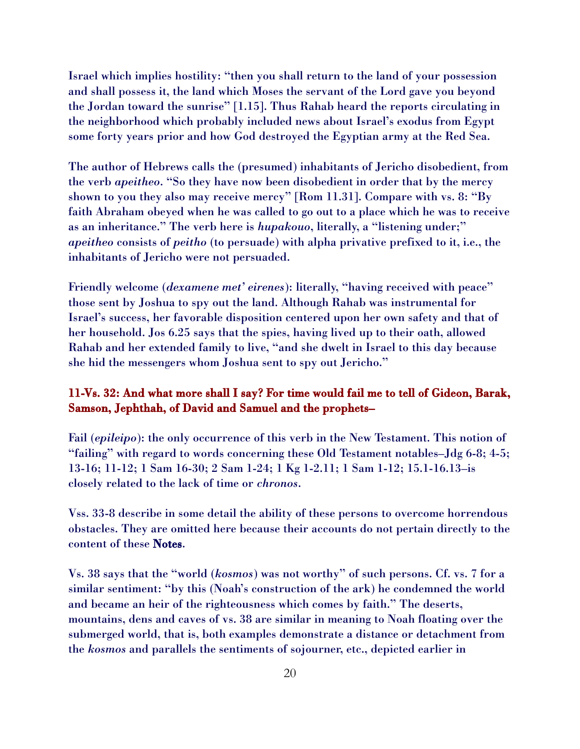Israel which implies hostility: "then you shall return to the land of your possession and shall possess it, the land which Moses the servant of the Lord gave you beyond the Jordan toward the sunrise" [1.15]. Thus Rahab heard the reports circulating in the neighborhood which probably included news about Israel's exodus from Egypt some forty years prior and how God destroyed the Egyptian army at the Red Sea.

The author of Hebrews calls the (presumed) inhabitants of Jericho disobedient, from the verb *apeitheo*. "So they have now been disobedient in order that by the mercy shown to you they also may receive mercy" [Rom 11.31]. Compare with vs. 8: "By faith Abraham obeyed when he was called to go out to a place which he was to receive as an inheritance." The verb here is *hupakouo*, literally, a "listening under;" *apeitheo* consists of *peitho* (to persuade) with alpha privative prefixed to it, i.e., the inhabitants of Jericho were not persuaded.

Friendly welcome (*dexamene met' eirenes*): literally, "having received with peace" those sent by Joshua to spy out the land. Although Rahab was instrumental for Israel's success, her favorable disposition centered upon her own safety and that of her household. Jos 6.25 says that the spies, having lived up to their oath, allowed Rahab and her extended family to live, "and she dwelt in Israel to this day because she hid the messengers whom Joshua sent to spy out Jericho."

## 11-Vs. 32: And what more shall I say? For time would fail me to tell of Gideon, Barak, Samson, Jephthah, of David and Samuel and the prophets–

Fail (*epileipo*): the only occurrence of this verb in the New Testament. This notion of "failing" with regard to words concerning these Old Testament notables–Jdg 6-8; 4-5; 13-16; 11-12; 1 Sam 16-30; 2 Sam 1-24; 1 Kg 1-2.11; 1 Sam 1-12; 15.1-16.13–is closely related to the lack of time or *chronos*.

Vss. 33-8 describe in some detail the ability of these persons to overcome horrendous obstacles. They are omitted here because their accounts do not pertain directly to the content of these Notes.

Vs. 38 says that the "world (*kosmos*) was not worthy" of such persons. Cf. vs. 7 for a similar sentiment: "by this (Noah's construction of the ark) he condemned the world and became an heir of the righteousness which comes by faith." The deserts, mountains, dens and caves of vs. 38 are similar in meaning to Noah floating over the submerged world, that is, both examples demonstrate a distance or detachment from the *kosmos* and parallels the sentiments of sojourner, etc., depicted earlier in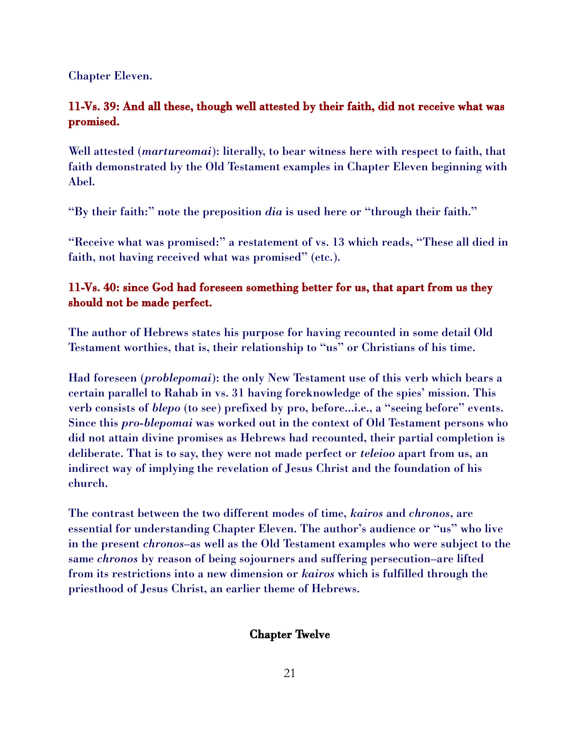Chapter Eleven.

# 11-Vs. 39: And all these, though well attested by their faith, did not receive what was promised.

Well attested (*martureomai*): literally, to bear witness here with respect to faith, that faith demonstrated by the Old Testament examples in Chapter Eleven beginning with Abel.

"By their faith:" note the preposition *dia* is used here or "through their faith."

"Receive what was promised:" a restatement of vs. 13 which reads, "These all died in faith, not having received what was promised" (etc.).

# 11-Vs. 40: since God had foreseen something better for us, that apart from us they should not be made perfect.

The author of Hebrews states his purpose for having recounted in some detail Old Testament worthies, that is, their relationship to "us" or Christians of his time.

Had foreseen (*problepomai*): the only New Testament use of this verb which bears a certain parallel to Rahab in vs. 31 having foreknowledge of the spies' mission. This verb consists of *blepo* (to see) prefixed by pro, before...i.e., a "seeing before" events. Since this *pro*-*blepomai* was worked out in the context of Old Testament persons who did not attain divine promises as Hebrews had recounted, their partial completion is deliberate. That is to say, they were not made perfect or *teleioo* apart from us, an indirect way of implying the revelation of Jesus Christ and the foundation of his church.

The contrast between the two different modes of time, *kairos* and *chronos*, are essential for understanding Chapter Eleven. The author's audience or "us" who live in the present *chronos*–as well as the Old Testament examples who were subject to the same *chronos* by reason of being sojourners and suffering persecution–are lifted from its restrictions into a new dimension or *kairos* which is fulfilled through the priesthood of Jesus Christ, an earlier theme of Hebrews.

## Chapter Twelve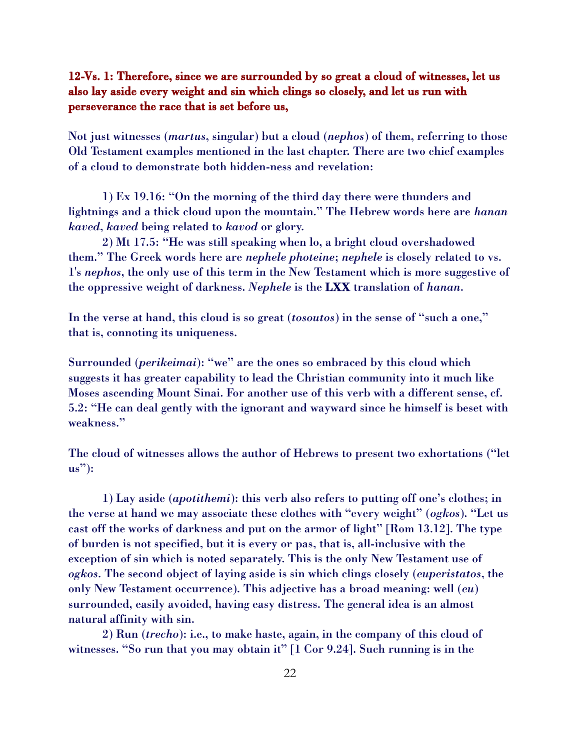# 12-Vs. 1: Therefore, since we are surrounded by so great a cloud of witnesses, let us also lay aside every weight and sin which clings so closely, and let us run with perseverance the race that is set before us,

Not just witnesses (*martus*, singular) but a cloud (*nephos*) of them, referring to those Old Testament examples mentioned in the last chapter. There are two chief examples of a cloud to demonstrate both hidden-ness and revelation:

1) Ex 19.16: "On the morning of the third day there were thunders and lightnings and a thick cloud upon the mountain." The Hebrew words here are *hanan kaved*, *kaved* being related to *kavod* or glory.

2) Mt 17.5: "He was still speaking when lo, a bright cloud overshadowed them." The Greek words here are *nephele photeine*; *nephele* is closely related to vs. 1's *nephos*, the only use of this term in the New Testament which is more suggestive of the oppressive weight of darkness. *Nephele* is the LXX translation of *hanan*.

In the verse at hand, this cloud is so great (*tosoutos*) in the sense of "such a one," that is, connoting its uniqueness.

Surrounded (*perikeimai*): "we" are the ones so embraced by this cloud which suggests it has greater capability to lead the Christian community into it much like Moses ascending Mount Sinai. For another use of this verb with a different sense, cf. 5.2: "He can deal gently with the ignorant and wayward since he himself is beset with weakness."

The cloud of witnesses allows the author of Hebrews to present two exhortations ("let us"):

1) Lay aside (*apotithemi*): this verb also refers to putting off one's clothes; in the verse at hand we may associate these clothes with "every weight" (*ogkos*). "Let us cast off the works of darkness and put on the armor of light" [Rom 13.12]. The type of burden is not specified, but it is every or pas, that is, all-inclusive with the exception of sin which is noted separately. This is the only New Testament use of *ogkos*. The second object of laying aside is sin which clings closely (*euperistatos*, the only New Testament occurrence). This adjective has a broad meaning: well (*eu*) surrounded, easily avoided, having easy distress. The general idea is an almost natural affinity with sin.

2) Run (*trecho*): i.e., to make haste, again, in the company of this cloud of witnesses. "So run that you may obtain it" [1 Cor 9.24]. Such running is in the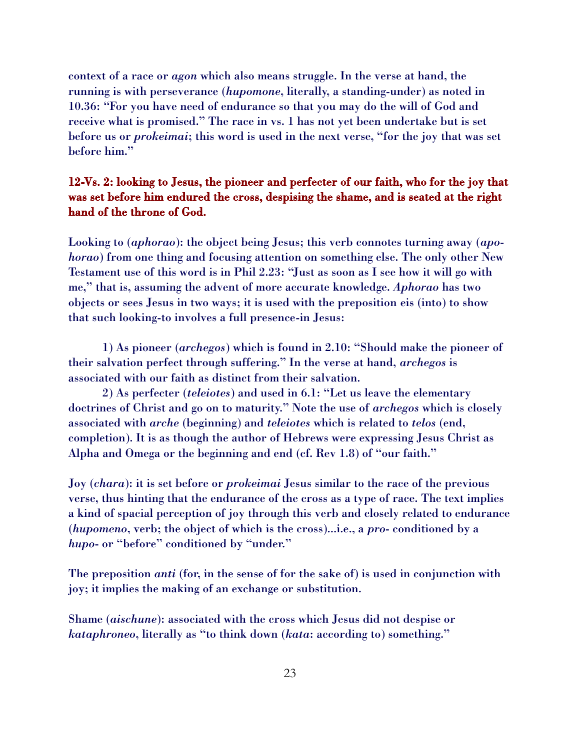context of a race or *agon* which also means struggle. In the verse at hand, the running is with perseverance (*hupomone*, literally, a standing-under) as noted in 10.36: "For you have need of endurance so that you may do the will of God and receive what is promised." The race in vs. 1 has not yet been undertake but is set before us or *prokeimai*; this word is used in the next verse, "for the joy that was set before him."

# 12-Vs. 2: looking to Jesus, the pioneer and perfecter of our faith, who for the joy that was set before him endured the cross, despising the shame, and is seated at the right hand of the throne of God.

Looking to (*aphorao*): the object being Jesus; this verb connotes turning away (*apohorao*) from one thing and focusing attention on something else. The only other New Testament use of this word is in Phil 2.23: "Just as soon as I see how it will go with me," that is, assuming the advent of more accurate knowledge. *Aphorao* has two objects or sees Jesus in two ways; it is used with the preposition eis (into) to show that such looking-to involves a full presence-in Jesus:

1) As pioneer (*archegos*) which is found in 2.10: "Should make the pioneer of their salvation perfect through suffering." In the verse at hand, *archegos* is associated with our faith as distinct from their salvation.

2) As perfecter (*teleiotes*) and used in 6.1: "Let us leave the elementary doctrines of Christ and go on to maturity." Note the use of *archegos* which is closely associated with *arche* (beginning) and *teleiotes* which is related to *telos* (end, completion). It is as though the author of Hebrews were expressing Jesus Christ as Alpha and Omega or the beginning and end (cf. Rev 1.8) of "our faith."

Joy (*chara*): it is set before or *prokeimai* Jesus similar to the race of the previous verse, thus hinting that the endurance of the cross as a type of race. The text implies a kind of spacial perception of joy through this verb and closely related to endurance (*hupomeno*, verb; the object of which is the cross)...i.e., a *pro*- conditioned by a *hupo*- or "before" conditioned by "under."

The preposition *anti* (for, in the sense of for the sake of) is used in conjunction with joy; it implies the making of an exchange or substitution.

Shame (*aischune*): associated with the cross which Jesus did not despise or *kataphroneo*, literally as "to think down (*kata*: according to) something."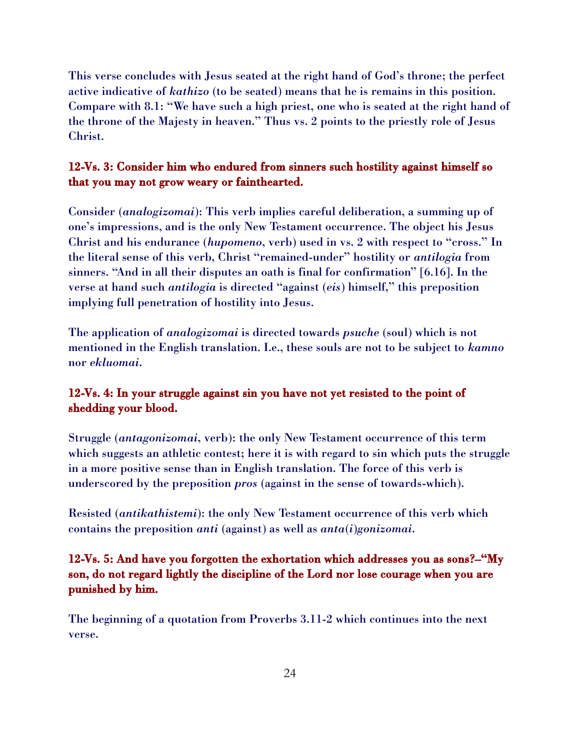This verse concludes with Jesus seated at the right hand of God's throne; the perfect active indicative of *kathizo* (to be seated) means that he is remains in this position. Compare with 8.1: "We have such a high priest, one who is seated at the right hand of the throne of the Majesty in heaven." Thus vs. 2 points to the priestly role of Jesus Christ.

#### 12-Vs. 3: Consider him who endured from sinners such hostility against himself so that you may not grow weary or fainthearted.

Consider (*analogizomai*): This verb implies careful deliberation, a summing up of one's impressions, and is the only New Testament occurrence. The object his Jesus Christ and his endurance (*hupomeno*, verb) used in vs. 2 with respect to "cross." In the literal sense of this verb, Christ "remained-under" hostility or *antilogia* from sinners. "And in all their disputes an oath is final for confirmation" [6.16]. In the verse at hand such *antilogia* is directed "against (*eis*) himself," this preposition implying full penetration of hostility into Jesus.

The application of *analogizomai* is directed towards *psuche* (soul) which is not mentioned in the English translation. I.e., these souls are not to be subject to *kamno* nor *ekluomai*.

## 12-Vs. 4: In your struggle against sin you have not yet resisted to the point of shedding your blood.

Struggle (*antagonizomai*, verb): the only New Testament occurrence of this term which suggests an athletic contest; here it is with regard to sin which puts the struggle in a more positive sense than in English translation. The force of this verb is underscored by the preposition *pros* (against in the sense of towards-which).

Resisted (*antikathistemi*): the only New Testament occurrence of this verb which contains the preposition *anti* (against) as well as *anta*(*i*)*gonizomai*.

# 12-Vs. 5: And have you forgotten the exhortation which addresses you as sons?–"My son, do not regard lightly the discipline of the Lord nor lose courage when you are punished by him.

The beginning of a quotation from Proverbs 3.11-2 which continues into the next verse.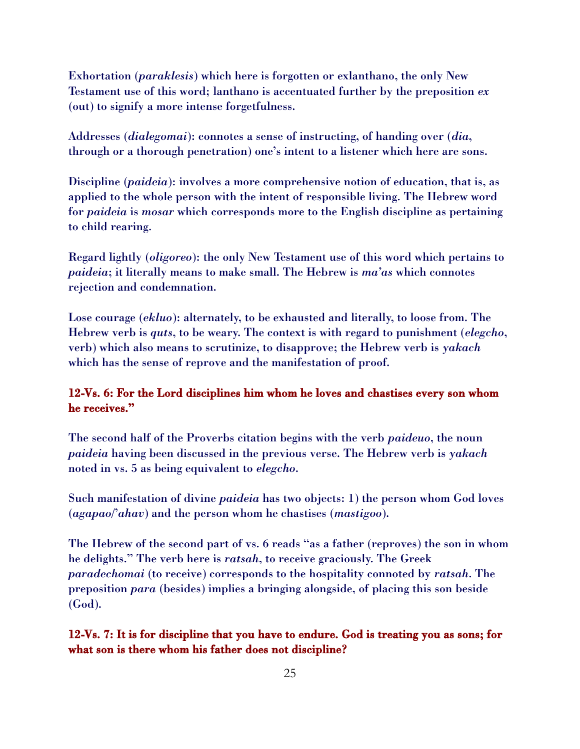Exhortation (*paraklesis*) which here is forgotten or exlanthano, the only New Testament use of this word; lanthano is accentuated further by the preposition *ex* (out) to signify a more intense forgetfulness.

Addresses (*dialegomai*): connotes a sense of instructing, of handing over (*dia*, through or a thorough penetration) one's intent to a listener which here are sons.

Discipline (*paideia*): involves a more comprehensive notion of education, that is, as applied to the whole person with the intent of responsible living. The Hebrew word for *paideia* is *mosar* which corresponds more to the English discipline as pertaining to child rearing.

Regard lightly (*oligoreo*): the only New Testament use of this word which pertains to *paideia*; it literally means to make small. The Hebrew is *ma'as* which connotes rejection and condemnation.

Lose courage (*ekluo*): alternately, to be exhausted and literally, to loose from. The Hebrew verb is *quts*, to be weary. The context is with regard to punishment (*elegcho*, verb) which also means to scrutinize, to disapprove; the Hebrew verb is *yakach* which has the sense of reprove and the manifestation of proof.

### 12-Vs. 6: For the Lord disciplines him whom he loves and chastises every son whom he receives."

The second half of the Proverbs citation begins with the verb *paideuo*, the noun *paideia* having been discussed in the previous verse. The Hebrew verb is *yakach* noted in vs. 5 as being equivalent to *elegcho*.

Such manifestation of divine *paideia* has two objects: 1) the person whom God loves (*agapao*/'*ahav*) and the person whom he chastises (*mastigoo*).

The Hebrew of the second part of vs. 6 reads "as a father (reproves) the son in whom he delights." The verb here is *ratsah*, to receive graciously. The Greek *paradechomai* (to receive) corresponds to the hospitality connoted by *ratsah*. The preposition *para* (besides) implies a bringing alongside, of placing this son beside (God).

12-Vs. 7: It is for discipline that you have to endure. God is treating you as sons; for what son is there whom his father does not discipline?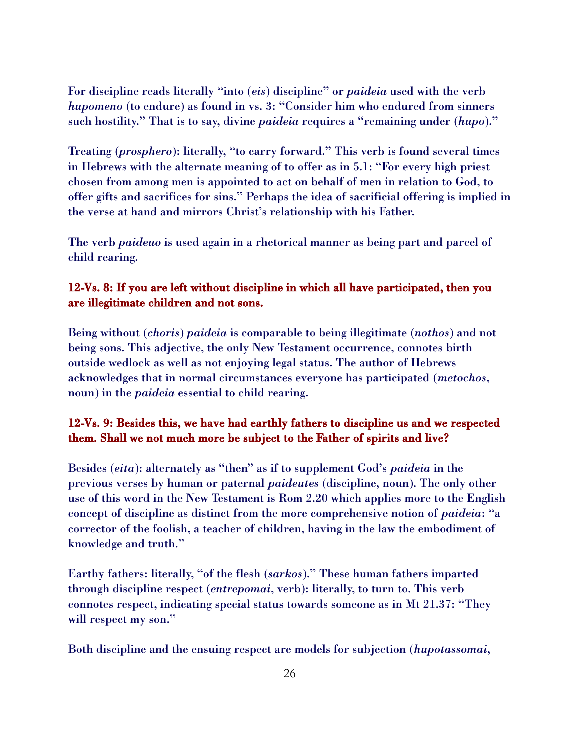For discipline reads literally "into (*eis*) discipline" or *paideia* used with the verb *hupomeno* (to endure) as found in vs. 3: "Consider him who endured from sinners such hostility." That is to say, divine *paideia* requires a "remaining under (*hupo*)."

Treating (*prosphero*): literally, "to carry forward." This verb is found several times in Hebrews with the alternate meaning of to offer as in 5.1: "For every high priest chosen from among men is appointed to act on behalf of men in relation to God, to offer gifts and sacrifices for sins." Perhaps the idea of sacrificial offering is implied in the verse at hand and mirrors Christ's relationship with his Father.

The verb *paideuo* is used again in a rhetorical manner as being part and parcel of child rearing.

# 12-Vs. 8: If you are left without discipline in which all have participated, then you are illegitimate children and not sons.

Being without (*choris*) *paideia* is comparable to being illegitimate (*nothos*) and not being sons. This adjective, the only New Testament occurrence, connotes birth outside wedlock as well as not enjoying legal status. The author of Hebrews acknowledges that in normal circumstances everyone has participated (*metochos*, noun) in the *paideia* essential to child rearing.

# 12-Vs. 9: Besides this, we have had earthly fathers to discipline us and we respected them. Shall we not much more be subject to the Father of spirits and live?

Besides (*eita*): alternately as "then" as if to supplement God's *paideia* in the previous verses by human or paternal *paideutes* (discipline, noun). The only other use of this word in the New Testament is Rom 2.20 which applies more to the English concept of discipline as distinct from the more comprehensive notion of *paideia*: "a corrector of the foolish, a teacher of children, having in the law the embodiment of knowledge and truth."

Earthy fathers: literally, "of the flesh (*sarkos*)." These human fathers imparted through discipline respect (*entrepomai*, verb): literally, to turn to. This verb connotes respect, indicating special status towards someone as in Mt 21.37: "They will respect my son."

Both discipline and the ensuing respect are models for subjection (*hupotassomai*,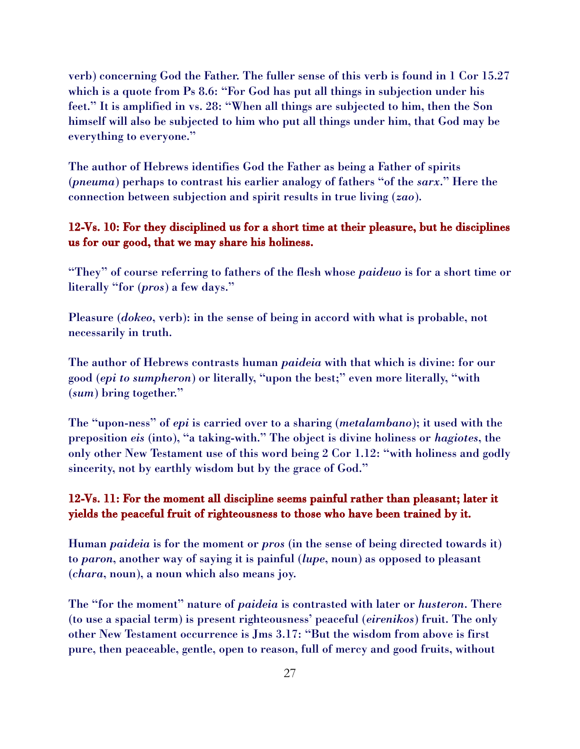verb) concerning God the Father. The fuller sense of this verb is found in 1 Cor 15.27 which is a quote from Ps 8.6: "For God has put all things in subjection under his feet." It is amplified in vs. 28: "When all things are subjected to him, then the Son himself will also be subjected to him who put all things under him, that God may be everything to everyone."

The author of Hebrews identifies God the Father as being a Father of spirits (*pneuma*) perhaps to contrast his earlier analogy of fathers "of the *sarx*." Here the connection between subjection and spirit results in true living (*zao*).

#### 12-Vs. 10: For they disciplined us for a short time at their pleasure, but he disciplines us for our good, that we may share his holiness.

"They" of course referring to fathers of the flesh whose *paideuo* is for a short time or literally "for (*pros*) a few days."

Pleasure (*dokeo*, verb): in the sense of being in accord with what is probable, not necessarily in truth.

The author of Hebrews contrasts human *paideia* with that which is divine: for our good (*epi to sumpheron*) or literally, "upon the best;" even more literally, "with (*sum*) bring together."

The "upon-ness" of *epi* is carried over to a sharing (*metalambano*); it used with the preposition *eis* (into), "a taking-with." The object is divine holiness or *hagiotes*, the only other New Testament use of this word being 2 Cor 1.12: "with holiness and godly sincerity, not by earthly wisdom but by the grace of God."

### 12-Vs. 11: For the moment all discipline seems painful rather than pleasant; later it yields the peaceful fruit of righteousness to those who have been trained by it.

Human *paideia* is for the moment or *pros* (in the sense of being directed towards it) to *paron*, another way of saying it is painful (*lupe*, noun) as opposed to pleasant (*chara*, noun), a noun which also means joy.

The "for the moment" nature of *paideia* is contrasted with later or *husteron*. There (to use a spacial term) is present righteousness' peaceful (*eirenikos*) fruit. The only other New Testament occurrence is Jms 3.17: "But the wisdom from above is first pure, then peaceable, gentle, open to reason, full of mercy and good fruits, without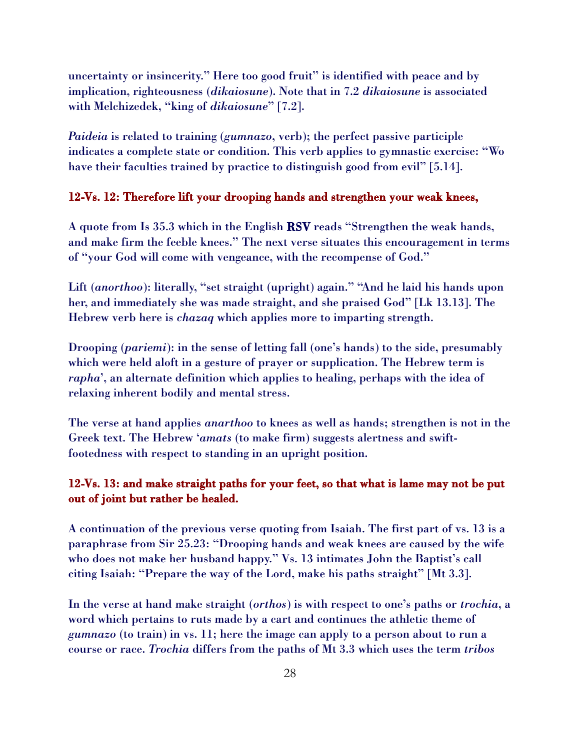uncertainty or insincerity." Here too good fruit" is identified with peace and by implication, righteousness (*dikaiosune*). Note that in 7.2 *dikaiosune* is associated with Melchizedek, "king of *dikaiosune*" [7.2].

*Paideia* is related to training (*gumnazo*, verb); the perfect passive participle indicates a complete state or condition. This verb applies to gymnastic exercise: "Wo have their faculties trained by practice to distinguish good from evil" [5.14].

#### 12-Vs. 12: Therefore lift your drooping hands and strengthen your weak knees,

A quote from Is 35.3 which in the English RSV reads "Strengthen the weak hands, and make firm the feeble knees." The next verse situates this encouragement in terms of "your God will come with vengeance, with the recompense of God."

Lift (*anorthoo*): literally, "set straight (upright) again." "And he laid his hands upon her, and immediately she was made straight, and she praised God" [Lk 13.13]. The Hebrew verb here is *chazaq* which applies more to imparting strength.

Drooping (*pariemi*): in the sense of letting fall (one's hands) to the side, presumably which were held aloft in a gesture of prayer or supplication. The Hebrew term is *rapha*', an alternate definition which applies to healing, perhaps with the idea of relaxing inherent bodily and mental stress.

The verse at hand applies *anarthoo* to knees as well as hands; strengthen is not in the Greek text. The Hebrew '*amats* (to make firm) suggests alertness and swiftfootedness with respect to standing in an upright position.

#### 12-Vs. 13: and make straight paths for your feet, so that what is lame may not be put out of joint but rather be healed.

A continuation of the previous verse quoting from Isaiah. The first part of vs. 13 is a paraphrase from Sir 25.23: "Drooping hands and weak knees are caused by the wife who does not make her husband happy." Vs. 13 intimates John the Baptist's call citing Isaiah: "Prepare the way of the Lord, make his paths straight" [Mt 3.3].

In the verse at hand make straight (*orthos*) is with respect to one's paths or *trochia*, a word which pertains to ruts made by a cart and continues the athletic theme of *gumnazo* (to train) in vs. 11; here the image can apply to a person about to run a course or race. *Trochia* differs from the paths of Mt 3.3 which uses the term *tribos*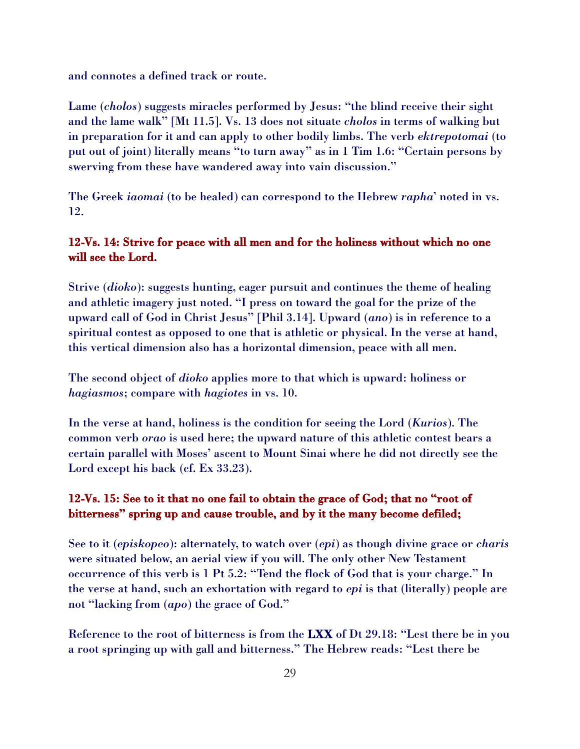and connotes a defined track or route.

Lame (*cholos*) suggests miracles performed by Jesus: "the blind receive their sight and the lame walk" [Mt 11.5]. Vs. 13 does not situate *cholos* in terms of walking but in preparation for it and can apply to other bodily limbs. The verb *ektrepotomai* (to put out of joint) literally means "to turn away" as in 1 Tim 1.6: "Certain persons by swerving from these have wandered away into vain discussion."

The Greek *iaomai* (to be healed) can correspond to the Hebrew *rapha*' noted in vs. 12.

### 12-Vs. 14: Strive for peace with all men and for the holiness without which no one will see the Lord.

Strive (*dioko*): suggests hunting, eager pursuit and continues the theme of healing and athletic imagery just noted. "I press on toward the goal for the prize of the upward call of God in Christ Jesus" [Phil 3.14]. Upward (*ano*) is in reference to a spiritual contest as opposed to one that is athletic or physical. In the verse at hand, this vertical dimension also has a horizontal dimension, peace with all men.

The second object of *dioko* applies more to that which is upward: holiness or *hagiasmos*; compare with *hagiotes* in vs. 10.

In the verse at hand, holiness is the condition for seeing the Lord (*Kurios*). The common verb *orao* is used here; the upward nature of this athletic contest bears a certain parallel with Moses' ascent to Mount Sinai where he did not directly see the Lord except his back (cf. Ex 33.23).

# 12-Vs. 15: See to it that no one fail to obtain the grace of God; that no "root of bitterness" spring up and cause trouble, and by it the many become defiled;

See to it (*episkopeo*): alternately, to watch over (*epi*) as though divine grace or *charis* were situated below, an aerial view if you will. The only other New Testament occurrence of this verb is 1 Pt 5.2: "Tend the flock of God that is your charge." In the verse at hand, such an exhortation with regard to *epi* is that (literally) people are not "lacking from (*apo*) the grace of God."

Reference to the root of bitterness is from the LXX of Dt 29.18: "Lest there be in you a root springing up with gall and bitterness." The Hebrew reads: "Lest there be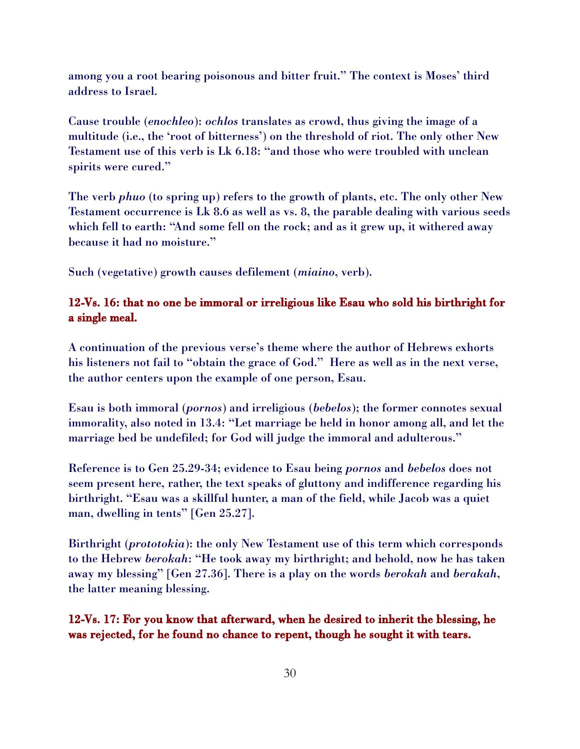among you a root bearing poisonous and bitter fruit." The context is Moses' third address to Israel.

Cause trouble (*enochleo*): *ochlos* translates as crowd, thus giving the image of a multitude (i.e., the 'root of bitterness') on the threshold of riot. The only other New Testament use of this verb is Lk 6.18: "and those who were troubled with unclean spirits were cured."

The verb *phuo* (to spring up) refers to the growth of plants, etc. The only other New Testament occurrence is Lk 8.6 as well as vs. 8, the parable dealing with various seeds which fell to earth: "And some fell on the rock; and as it grew up, it withered away because it had no moisture."

Such (vegetative) growth causes defilement (*miaino*, verb).

#### 12-Vs. 16: that no one be immoral or irreligious like Esau who sold his birthright for a single meal.

A continuation of the previous verse's theme where the author of Hebrews exhorts his listeners not fail to "obtain the grace of God." Here as well as in the next verse, the author centers upon the example of one person, Esau.

Esau is both immoral (*pornos*) and irreligious (*bebelos*); the former connotes sexual immorality, also noted in 13.4: "Let marriage be held in honor among all, and let the marriage bed be undefiled; for God will judge the immoral and adulterous."

Reference is to Gen 25.29-34; evidence to Esau being *pornos* and *bebelos* does not seem present here, rather, the text speaks of gluttony and indifference regarding his birthright. "Esau was a skillful hunter, a man of the field, while Jacob was a quiet man, dwelling in tents" [Gen 25.27].

Birthright (*prototokia*): the only New Testament use of this term which corresponds to the Hebrew *berokah*: "He took away my birthright; and behold, now he has taken away my blessing" [Gen 27.36]. There is a play on the words *berokah* and *berakah*, the latter meaning blessing.

12-Vs. 17: For you know that afterward, when he desired to inherit the blessing, he was rejected, for he found no chance to repent, though he sought it with tears.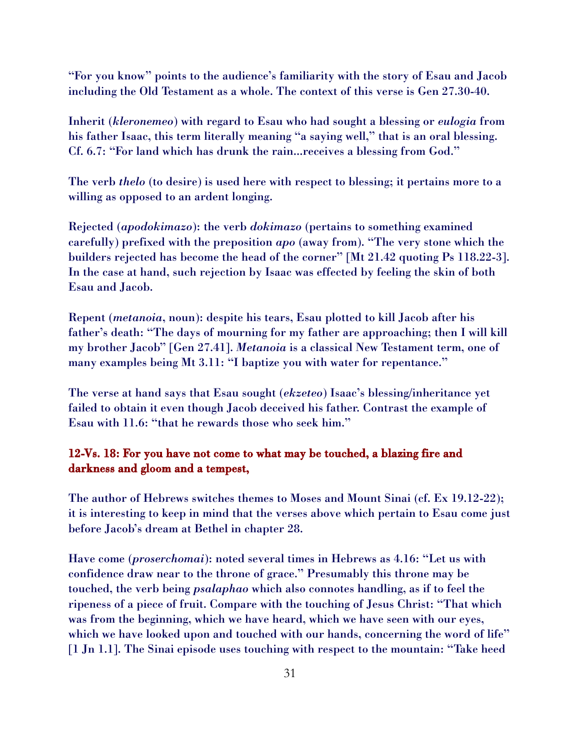"For you know" points to the audience's familiarity with the story of Esau and Jacob including the Old Testament as a whole. The context of this verse is Gen 27.30-40.

Inherit (*kleronemeo*) with regard to Esau who had sought a blessing or *eulogia* from his father Isaac, this term literally meaning "a saying well," that is an oral blessing. Cf. 6.7: "For land which has drunk the rain...receives a blessing from God."

The verb *thelo* (to desire) is used here with respect to blessing; it pertains more to a willing as opposed to an ardent longing.

Rejected (*apodokimazo*): the verb *dokimazo* (pertains to something examined carefully) prefixed with the preposition *apo* (away from). "The very stone which the builders rejected has become the head of the corner" [Mt 21.42 quoting Ps 118.22-3]. In the case at hand, such rejection by Isaac was effected by feeling the skin of both Esau and Jacob.

Repent (*metanoia*, noun): despite his tears, Esau plotted to kill Jacob after his father's death: "The days of mourning for my father are approaching; then I will kill my brother Jacob" [Gen 27.41]. *Metanoia* is a classical New Testament term, one of many examples being Mt 3.11: "I baptize you with water for repentance."

The verse at hand says that Esau sought (*ekzeteo*) Isaac's blessing/inheritance yet failed to obtain it even though Jacob deceived his father. Contrast the example of Esau with 11.6: "that he rewards those who seek him."

### 12-Vs. 18: For you have not come to what may be touched, a blazing fire and darkness and gloom and a tempest,

The author of Hebrews switches themes to Moses and Mount Sinai (cf. Ex 19.12-22); it is interesting to keep in mind that the verses above which pertain to Esau come just before Jacob's dream at Bethel in chapter 28.

Have come (*proserchomai*): noted several times in Hebrews as 4.16: "Let us with confidence draw near to the throne of grace." Presumably this throne may be touched, the verb being *psalaphao* which also connotes handling, as if to feel the ripeness of a piece of fruit. Compare with the touching of Jesus Christ: "That which was from the beginning, which we have heard, which we have seen with our eyes, which we have looked upon and touched with our hands, concerning the word of life" [1 Jn 1.1]. The Sinai episode uses touching with respect to the mountain: "Take heed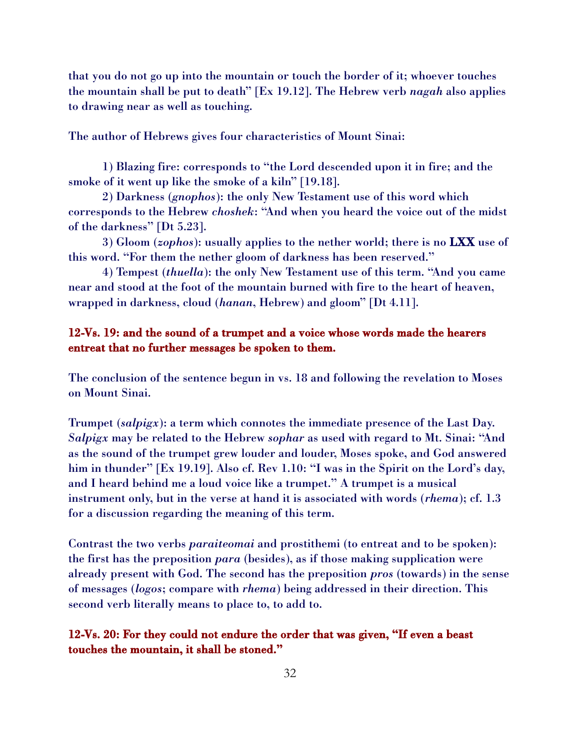that you do not go up into the mountain or touch the border of it; whoever touches the mountain shall be put to death" [Ex 19.12]. The Hebrew verb *nagah* also applies to drawing near as well as touching.

The author of Hebrews gives four characteristics of Mount Sinai:

1) Blazing fire: corresponds to "the Lord descended upon it in fire; and the smoke of it went up like the smoke of a kiln" [19.18].

2) Darkness (*gnophos*): the only New Testament use of this word which corresponds to the Hebrew *choshek*: "And when you heard the voice out of the midst of the darkness" [Dt 5.23].

3) Gloom (*zophos*): usually applies to the nether world; there is no LXX use of this word. "For them the nether gloom of darkness has been reserved."

4) Tempest (*thuella*): the only New Testament use of this term. "And you came near and stood at the foot of the mountain burned with fire to the heart of heaven, wrapped in darkness, cloud (*hanan*, Hebrew) and gloom" [Dt 4.11].

#### 12-Vs. 19: and the sound of a trumpet and a voice whose words made the hearers entreat that no further messages be spoken to them.

The conclusion of the sentence begun in vs. 18 and following the revelation to Moses on Mount Sinai.

Trumpet (*salpigx*): a term which connotes the immediate presence of the Last Day. *Salpigx* may be related to the Hebrew *sophar* as used with regard to Mt. Sinai: "And as the sound of the trumpet grew louder and louder, Moses spoke, and God answered him in thunder" [Ex 19.19]. Also cf. Rev 1.10: "I was in the Spirit on the Lord's day, and I heard behind me a loud voice like a trumpet." A trumpet is a musical instrument only, but in the verse at hand it is associated with words (*rhema*); cf. 1.3 for a discussion regarding the meaning of this term.

Contrast the two verbs *paraiteomai* and prostithemi (to entreat and to be spoken): the first has the preposition *para* (besides), as if those making supplication were already present with God. The second has the preposition *pros* (towards) in the sense of messages (*logos*; compare with *rhema*) being addressed in their direction. This second verb literally means to place to, to add to.

12-Vs. 20: For they could not endure the order that was given, "If even a beast touches the mountain, it shall be stoned."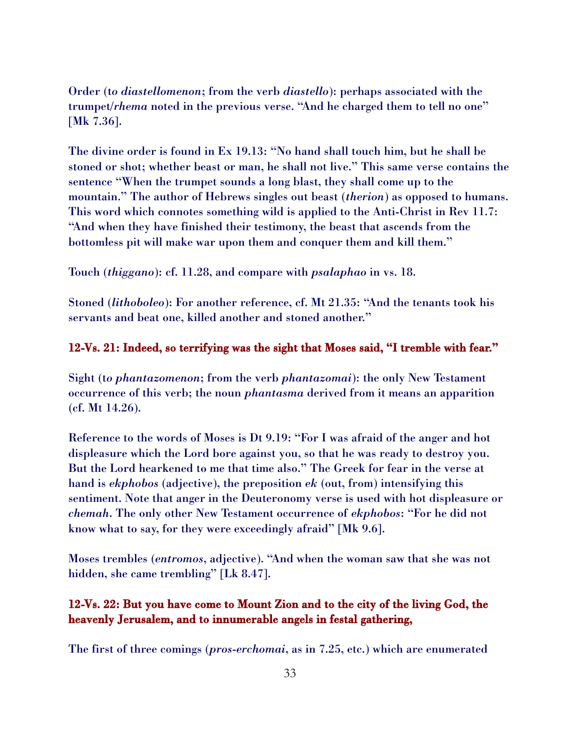Order (t*o diastellomenon*; from the verb *diastello*): perhaps associated with the trumpet/*rhema* noted in the previous verse. "And he charged them to tell no one" [Mk 7.36].

The divine order is found in Ex 19.13: "No hand shall touch him, but he shall be stoned or shot; whether beast or man, he shall not live." This same verse contains the sentence "When the trumpet sounds a long blast, they shall come up to the mountain." The author of Hebrews singles out beast (*therion*) as opposed to humans. This word which connotes something wild is applied to the Anti-Christ in Rev 11.7: "And when they have finished their testimony, the beast that ascends from the bottomless pit will make war upon them and conquer them and kill them."

Touch (*thiggano*): cf. 11.28, and compare with *psalaphao* in vs. 18.

Stoned (*lithoboleo*): For another reference, cf. Mt 21.35: "And the tenants took his servants and beat one, killed another and stoned another."

#### 12-Vs. 21: Indeed, so terrifying was the sight that Moses said, "I tremble with fear."

Sight (t*o phantazomenon*; from the verb *phantazomai*): the only New Testament occurrence of this verb; the noun *phantasma* derived from it means an apparition (cf. Mt 14.26).

Reference to the words of Moses is Dt 9.19: "For I was afraid of the anger and hot displeasure which the Lord bore against you, so that he was ready to destroy you. But the Lord hearkened to me that time also." The Greek for fear in the verse at hand is *ekphobos* (adjective), the preposition *ek* (out, from) intensifying this sentiment. Note that anger in the Deuteronomy verse is used with hot displeasure or *chemah*. The only other New Testament occurrence of *ekphobos*: "For he did not know what to say, for they were exceedingly afraid" [Mk 9.6].

Moses trembles (*entromos*, adjective). "And when the woman saw that she was not hidden, she came trembling" [Lk 8.47].

#### 12-Vs. 22: But you have come to Mount Zion and to the city of the living God, the heavenly Jerusalem, and to innumerable angels in festal gathering,

The first of three comings (*pros*-*erchomai*, as in 7.25, etc.) which are enumerated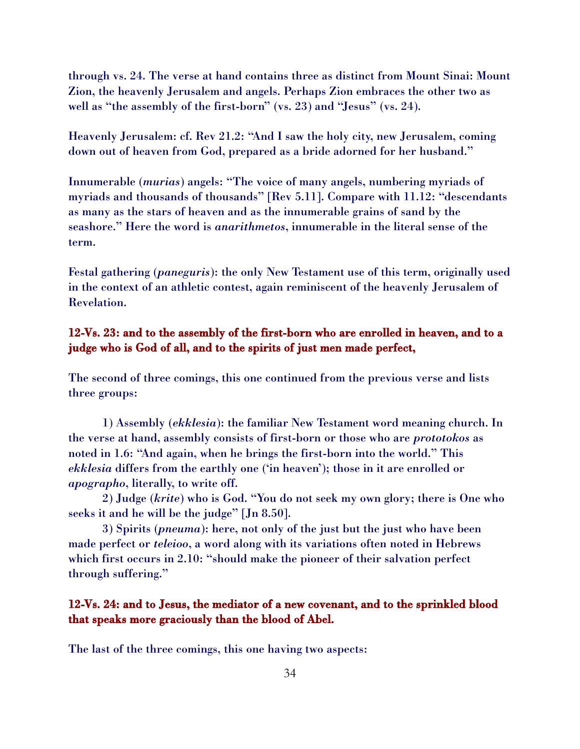through vs. 24. The verse at hand contains three as distinct from Mount Sinai: Mount Zion, the heavenly Jerusalem and angels. Perhaps Zion embraces the other two as well as "the assembly of the first-born" (vs. 23) and "Jesus" (vs. 24).

Heavenly Jerusalem: cf. Rev 21.2: "And I saw the holy city, new Jerusalem, coming down out of heaven from God, prepared as a bride adorned for her husband."

Innumerable (*murias*) angels: "The voice of many angels, numbering myriads of myriads and thousands of thousands" [Rev 5.11]. Compare with 11.12: "descendants as many as the stars of heaven and as the innumerable grains of sand by the seashore." Here the word is *anarithmetos*, innumerable in the literal sense of the term.

Festal gathering (*paneguris*): the only New Testament use of this term, originally used in the context of an athletic contest, again reminiscent of the heavenly Jerusalem of Revelation.

## 12-Vs. 23: and to the assembly of the first-born who are enrolled in heaven, and to a judge who is God of all, and to the spirits of just men made perfect,

The second of three comings, this one continued from the previous verse and lists three groups:

1) Assembly (*ekklesia*): the familiar New Testament word meaning church. In the verse at hand, assembly consists of first-born or those who are *prototokos* as noted in 1.6: "And again, when he brings the first-born into the world." This *ekklesia* differs from the earthly one ('in heaven'); those in it are enrolled or *apographo*, literally, to write off.

2) Judge (*krite*) who is God. "You do not seek my own glory; there is One who seeks it and he will be the judge" [Jn 8.50].

3) Spirits (*pneuma*): here, not only of the just but the just who have been made perfect or *teleioo*, a word along with its variations often noted in Hebrews which first occurs in 2.10: "should make the pioneer of their salvation perfect through suffering."

## 12-Vs. 24: and to Jesus, the mediator of a new covenant, and to the sprinkled blood that speaks more graciously than the blood of Abel.

The last of the three comings, this one having two aspects: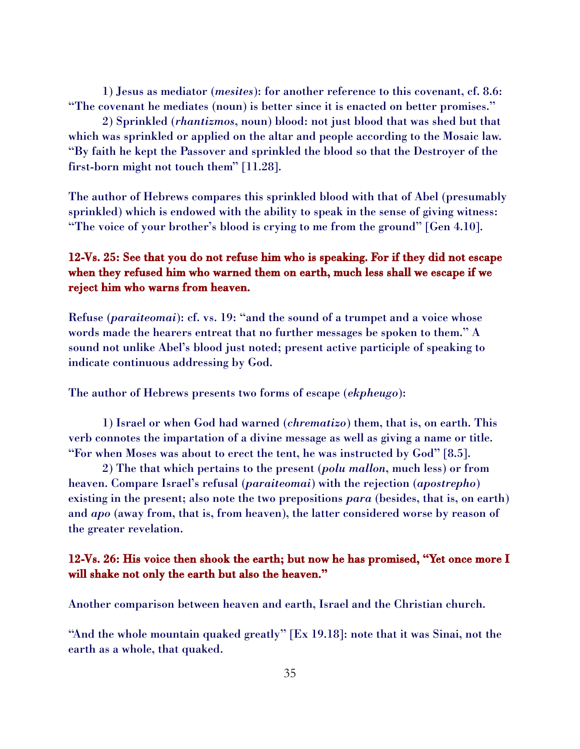1) Jesus as mediator (*mesites*): for another reference to this covenant, cf. 8.6: "The covenant he mediates (noun) is better since it is enacted on better promises."

2) Sprinkled (*rhantizmos*, noun) blood: not just blood that was shed but that which was sprinkled or applied on the altar and people according to the Mosaic law. "By faith he kept the Passover and sprinkled the blood so that the Destroyer of the first-born might not touch them" [11.28].

The author of Hebrews compares this sprinkled blood with that of Abel (presumably sprinkled) which is endowed with the ability to speak in the sense of giving witness: "The voice of your brother's blood is crying to me from the ground" [Gen 4.10].

# 12-Vs. 25: See that you do not refuse him who is speaking. For if they did not escape when they refused him who warned them on earth, much less shall we escape if we reject him who warns from heaven.

Refuse (*paraiteomai*): cf. vs. 19: "and the sound of a trumpet and a voice whose words made the hearers entreat that no further messages be spoken to them." A sound not unlike Abel's blood just noted; present active participle of speaking to indicate continuous addressing by God.

The author of Hebrews presents two forms of escape (*ekpheugo*):

1) Israel or when God had warned (*chrematizo*) them, that is, on earth. This verb connotes the impartation of a divine message as well as giving a name or title. "For when Moses was about to erect the tent, he was instructed by God" [8.5].

2) The that which pertains to the present (*polu mallon*, much less) or from heaven. Compare Israel's refusal (*paraiteomai*) with the rejection (*apostrepho*) existing in the present; also note the two prepositions *para* (besides, that is, on earth) and *apo* (away from, that is, from heaven), the latter considered worse by reason of the greater revelation.

## 12-Vs. 26: His voice then shook the earth; but now he has promised, "Yet once more I will shake not only the earth but also the heaven."

Another comparison between heaven and earth, Israel and the Christian church.

"And the whole mountain quaked greatly" [Ex 19.18]: note that it was Sinai, not the earth as a whole, that quaked.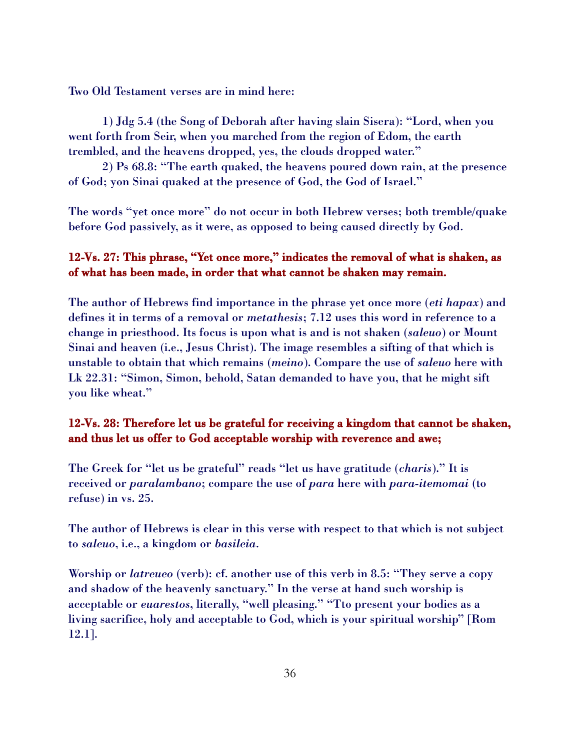Two Old Testament verses are in mind here:

1) Jdg 5.4 (the Song of Deborah after having slain Sisera): "Lord, when you went forth from Seir, when you marched from the region of Edom, the earth trembled, and the heavens dropped, yes, the clouds dropped water."

2) Ps 68.8: "The earth quaked, the heavens poured down rain, at the presence of God; yon Sinai quaked at the presence of God, the God of Israel."

The words "yet once more" do not occur in both Hebrew verses; both tremble/quake before God passively, as it were, as opposed to being caused directly by God.

# 12-Vs. 27: This phrase, "Yet once more," indicates the removal of what is shaken, as of what has been made, in order that what cannot be shaken may remain.

The author of Hebrews find importance in the phrase yet once more (*eti hapax*) and defines it in terms of a removal or *metathesis*; 7.12 uses this word in reference to a change in priesthood. Its focus is upon what is and is not shaken (*saleuo*) or Mount Sinai and heaven (i.e., Jesus Christ). The image resembles a sifting of that which is unstable to obtain that which remains (*meino*). Compare the use of *saleuo* here with Lk 22.31: "Simon, Simon, behold, Satan demanded to have you, that he might sift you like wheat."

# 12-Vs. 28: Therefore let us be grateful for receiving a kingdom that cannot be shaken, and thus let us offer to God acceptable worship with reverence and awe;

The Greek for "let us be grateful" reads "let us have gratitude (*charis*)." It is received or *paralambano*; compare the use of *para* here with *para*-*itemomai* (to refuse) in vs. 25.

The author of Hebrews is clear in this verse with respect to that which is not subject to *saleuo*, i.e., a kingdom or *basileia*.

Worship or *latreueo* (verb): cf. another use of this verb in 8.5: "They serve a copy and shadow of the heavenly sanctuary." In the verse at hand such worship is acceptable or *euarestos*, literally, "well pleasing." "Tto present your bodies as a living sacrifice, holy and acceptable to God, which is your spiritual worship" [Rom 12.1].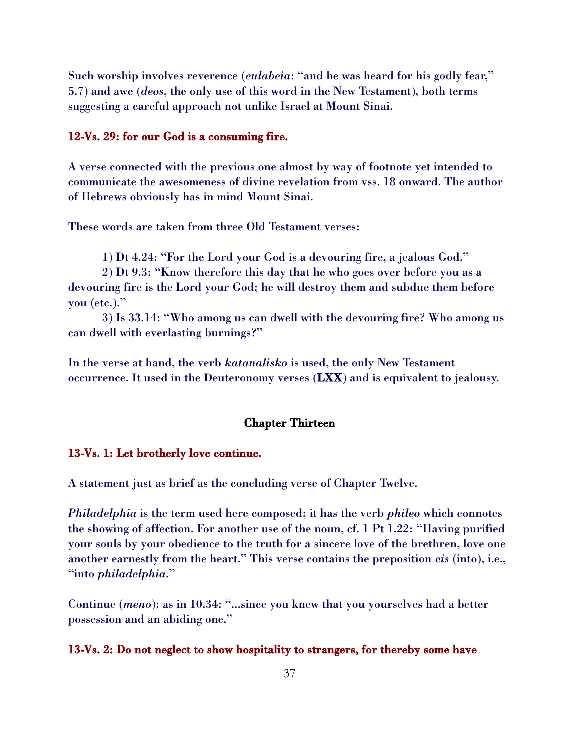Such worship involves reverence (*eulabeia*: "and he was heard for his godly fear," 5.7) and awe (*deos*, the only use of this word in the New Testament), both terms suggesting a careful approach not unlike Israel at Mount Sinai.

#### 12-Vs. 29: for our God is a consuming fire.

A verse connected with the previous one almost by way of footnote yet intended to communicate the awesomeness of divine revelation from vss. 18 onward. The author of Hebrews obviously has in mind Mount Sinai.

These words are taken from three Old Testament verses:

1) Dt 4.24: "For the Lord your God is a devouring fire, a jealous God."

2) Dt 9.3: "Know therefore this day that he who goes over before you as a devouring fire is the Lord your God; he will destroy them and subdue them before you (etc.)."

3) Is 33.14: "Who among us can dwell with the devouring fire? Who among us can dwell with everlasting burnings?"

In the verse at hand, the verb *katanalisko* is used, the only New Testament occurrence. It used in the Deuteronomy verses (LXX) and is equivalent to jealousy.

#### Chapter Thirteen

#### 13-Vs. 1: Let brotherly love continue.

A statement just as brief as the concluding verse of Chapter Twelve.

*Philadelphia* is the term used here composed; it has the verb *phileo* which connotes the showing of affection. For another use of the noun, cf. 1 Pt 1.22: "Having purified your souls by your obedience to the truth for a sincere love of the brethren, love one another earnestly from the heart." This verse contains the preposition *eis* (into), i.e., "into *philadelphia*."

Continue (*meno*): as in 10.34: "...since you knew that you yourselves had a better possession and an abiding one."

#### 13-Vs. 2: Do not neglect to show hospitality to strangers, for thereby some have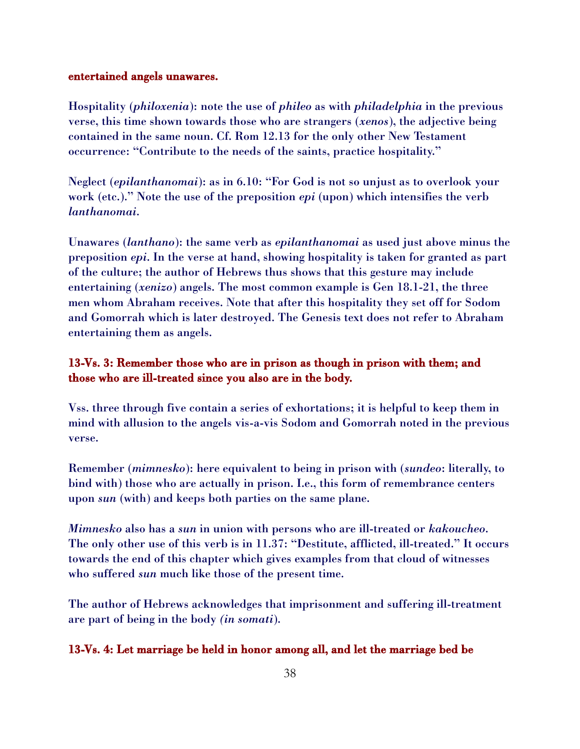#### entertained angels unawares.

Hospitality (*philoxenia*): note the use of *phileo* as with *philadelphia* in the previous verse, this time shown towards those who are strangers (*xenos*), the adjective being contained in the same noun. Cf. Rom 12.13 for the only other New Testament occurrence: "Contribute to the needs of the saints, practice hospitality."

Neglect (*epilanthanomai*): as in 6.10: "For God is not so unjust as to overlook your work (etc.)." Note the use of the preposition *epi* (upon) which intensifies the verb *lanthanomai*.

Unawares (*lanthano*): the same verb as *epilanthanomai* as used just above minus the preposition *epi*. In the verse at hand, showing hospitality is taken for granted as part of the culture; the author of Hebrews thus shows that this gesture may include entertaining (*xenizo*) angels. The most common example is Gen 18.1-21, the three men whom Abraham receives. Note that after this hospitality they set off for Sodom and Gomorrah which is later destroyed. The Genesis text does not refer to Abraham entertaining them as angels.

## 13-Vs. 3: Remember those who are in prison as though in prison with them; and those who are ill-treated since you also are in the body.

Vss. three through five contain a series of exhortations; it is helpful to keep them in mind with allusion to the angels vis-a-vis Sodom and Gomorrah noted in the previous verse.

Remember (*mimnesko*): here equivalent to being in prison with (*sundeo*: literally, to bind with) those who are actually in prison. I.e., this form of remembrance centers upon *sun* (with) and keeps both parties on the same plane.

*Mimnesko* also has a *sun* in union with persons who are ill-treated or *kakoucheo*. The only other use of this verb is in 11.37: "Destitute, afflicted, ill-treated." It occurs towards the end of this chapter which gives examples from that cloud of witnesses who suffered *sun* much like those of the present time.

The author of Hebrews acknowledges that imprisonment and suffering ill-treatment are part of being in the body *(in somati*).

#### 13-Vs. 4: Let marriage be held in honor among all, and let the marriage bed be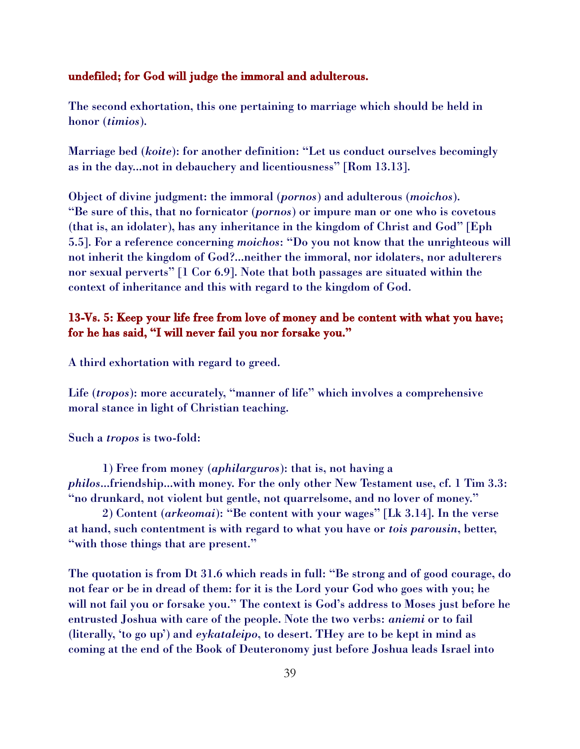#### undefiled; for God will judge the immoral and adulterous.

The second exhortation, this one pertaining to marriage which should be held in honor (*timios*).

Marriage bed (*koite*): for another definition: "Let us conduct ourselves becomingly as in the day...not in debauchery and licentiousness" [Rom 13.13].

Object of divine judgment: the immoral (*pornos*) and adulterous (*moichos*). "Be sure of this, that no fornicator (*pornos*) or impure man or one who is covetous (that is, an idolater), has any inheritance in the kingdom of Christ and God" [Eph 5.5]. For a reference concerning *moichos*: "Do you not know that the unrighteous will not inherit the kingdom of God?...neither the immoral, nor idolaters, nor adulterers nor sexual perverts" [1 Cor 6.9]. Note that both passages are situated within the context of inheritance and this with regard to the kingdom of God.

## 13-Vs. 5: Keep your life free from love of money and be content with what you have; for he has said, "I will never fail you nor forsake you."

A third exhortation with regard to greed.

Life (*tropos*): more accurately, "manner of life" which involves a comprehensive moral stance in light of Christian teaching.

Such a *tropos* is two-fold:

1) Free from money (*aphilarguros*): that is, not having a *philos*...friendship...with money. For the only other New Testament use, cf. 1 Tim 3.3: "no drunkard, not violent but gentle, not quarrelsome, and no lover of money."

2) Content (*arkeomai*): "Be content with your wages" [Lk 3.14]. In the verse at hand, such contentment is with regard to what you have or *tois parousin*, better, "with those things that are present."

The quotation is from Dt 31.6 which reads in full: "Be strong and of good courage, do not fear or be in dread of them: for it is the Lord your God who goes with you; he will not fail you or forsake you." The context is God's address to Moses just before he entrusted Joshua with care of the people. Note the two verbs: *aniemi* or to fail (literally, 'to go up') and *eykataleipo*, to desert. THey are to be kept in mind as coming at the end of the Book of Deuteronomy just before Joshua leads Israel into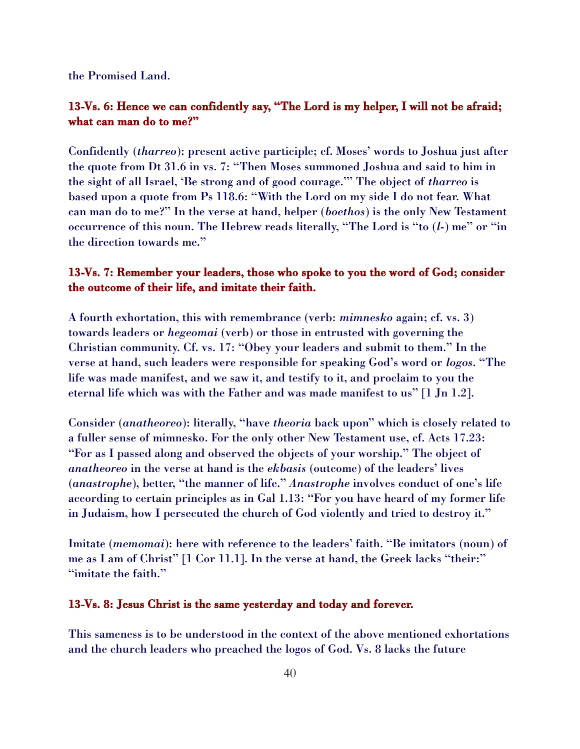the Promised Land.

### 13-Vs. 6: Hence we can confidently say, "The Lord is my helper, I will not be afraid; what can man do to me?"

Confidently (*tharreo*): present active participle; cf. Moses' words to Joshua just after the quote from Dt 31.6 in vs. 7: "Then Moses summoned Joshua and said to him in the sight of all Israel, 'Be strong and of good courage.'" The object of *tharreo* is based upon a quote from Ps 118.6: "With the Lord on my side I do not fear. What can man do to me?" In the verse at hand, helper (*boethos*) is the only New Testament occurrence of this noun. The Hebrew reads literally, "The Lord is "to (*l*-) me" or "in the direction towards me."

## 13-Vs. 7: Remember your leaders, those who spoke to you the word of God; consider the outcome of their life, and imitate their faith.

A fourth exhortation, this with remembrance (verb: *mimnesko* again; cf. vs. 3) towards leaders or *hegeomai* (verb) or those in entrusted with governing the Christian community. Cf. vs. 17: "Obey your leaders and submit to them." In the verse at hand, such leaders were responsible for speaking God's word or *logos*. "The life was made manifest, and we saw it, and testify to it, and proclaim to you the eternal life which was with the Father and was made manifest to us" [1 Jn 1.2].

Consider (*anatheoreo*): literally, "have *theoria* back upon" which is closely related to a fuller sense of mimnesko. For the only other New Testament use, cf. Acts 17.23: "For as I passed along and observed the objects of your worship." The object of *anatheoreo* in the verse at hand is the *ekbasis* (outcome) of the leaders' lives (*anastrophe*), better, "the manner of life." *Anastrophe* involves conduct of one's life according to certain principles as in Gal 1.13: "For you have heard of my former life in Judaism, how I persecuted the church of God violently and tried to destroy it."

Imitate (*memomai*): here with reference to the leaders' faith. "Be imitators (noun) of me as I am of Christ" [1 Cor 11.1]. In the verse at hand, the Greek lacks "their:" "imitate the faith."

#### 13-Vs. 8: Jesus Christ is the same yesterday and today and forever.

This sameness is to be understood in the context of the above mentioned exhortations and the church leaders who preached the logos of God. Vs. 8 lacks the future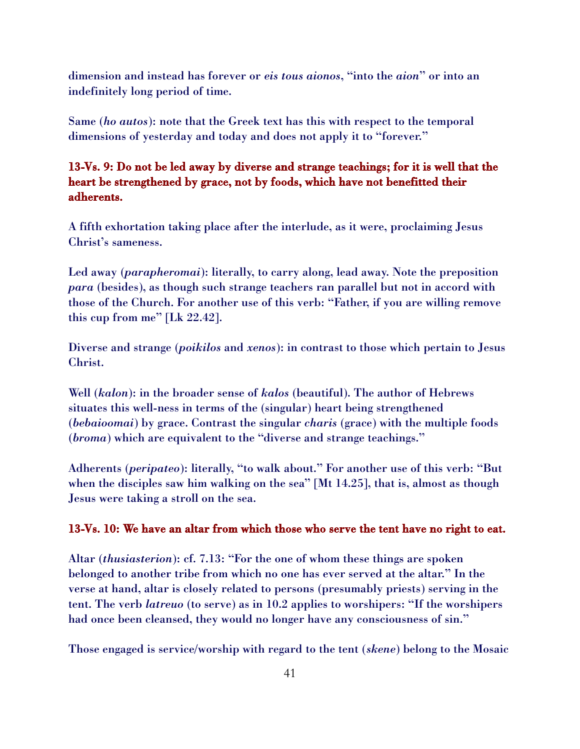dimension and instead has forever or *eis tous aionos*, "into the *aion*" or into an indefinitely long period of time.

Same (*ho autos*): note that the Greek text has this with respect to the temporal dimensions of yesterday and today and does not apply it to "forever."

## 13-Vs. 9: Do not be led away by diverse and strange teachings; for it is well that the heart be strengthened by grace, not by foods, which have not benefitted their adherents.

A fifth exhortation taking place after the interlude, as it were, proclaiming Jesus Christ's sameness.

Led away (*parapheromai*): literally, to carry along, lead away. Note the preposition *para* (besides), as though such strange teachers ran parallel but not in accord with those of the Church. For another use of this verb: "Father, if you are willing remove this cup from me" [Lk 22.42].

Diverse and strange (*poikilos* and *xenos*): in contrast to those which pertain to Jesus Christ.

Well (*kalon*): in the broader sense of *kalos* (beautiful). The author of Hebrews situates this well-ness in terms of the (singular) heart being strengthened (*bebaioomai*) by grace. Contrast the singular *charis* (grace) with the multiple foods (*broma*) which are equivalent to the "diverse and strange teachings."

Adherents (*peripateo*): literally, "to walk about." For another use of this verb: "But when the disciples saw him walking on the sea" [Mt 14.25], that is, almost as though Jesus were taking a stroll on the sea.

#### 13-Vs. 10: We have an altar from which those who serve the tent have no right to eat.

Altar (*thusiasterion*): cf. 7.13: "For the one of whom these things are spoken belonged to another tribe from which no one has ever served at the altar." In the verse at hand, altar is closely related to persons (presumably priests) serving in the tent. The verb *latreuo* (to serve) as in 10.2 applies to worshipers: "If the worshipers had once been cleansed, they would no longer have any consciousness of sin."

Those engaged is service/worship with regard to the tent (*skene*) belong to the Mosaic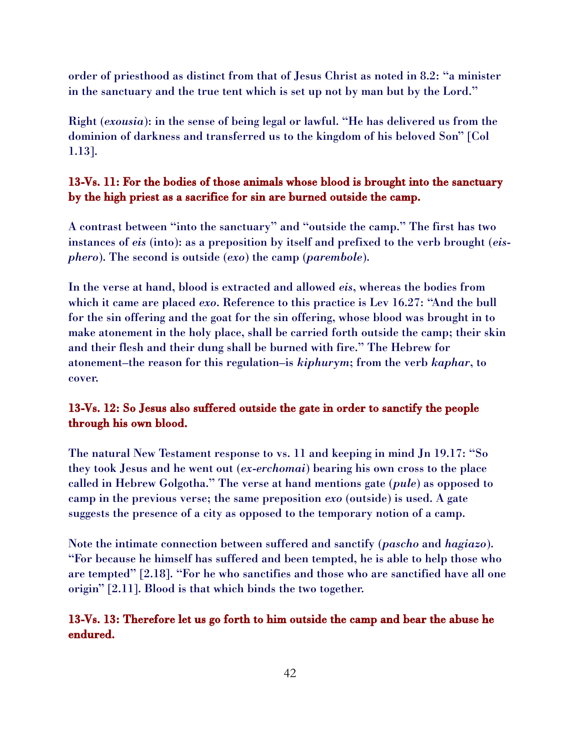order of priesthood as distinct from that of Jesus Christ as noted in 8.2: "a minister in the sanctuary and the true tent which is set up not by man but by the Lord."

Right (*exousia*): in the sense of being legal or lawful. "He has delivered us from the dominion of darkness and transferred us to the kingdom of his beloved Son" [Col 1.13].

## 13-Vs. 11: For the bodies of those animals whose blood is brought into the sanctuary by the high priest as a sacrifice for sin are burned outside the camp.

A contrast between "into the sanctuary" and "outside the camp." The first has two instances of *eis* (into): as a preposition by itself and prefixed to the verb brought (*eisphero*). The second is outside (*exo*) the camp (*parembole*).

In the verse at hand, blood is extracted and allowed *eis*, whereas the bodies from which it came are placed *exo*. Reference to this practice is Lev 16.27: "And the bull for the sin offering and the goat for the sin offering, whose blood was brought in to make atonement in the holy place, shall be carried forth outside the camp; their skin and their flesh and their dung shall be burned with fire." The Hebrew for atonement–the reason for this regulation–is *kiphurym*; from the verb *kaphar*, to cover.

# 13-Vs. 12: So Jesus also suffered outside the gate in order to sanctify the people through his own blood.

The natural New Testament response to vs. 11 and keeping in mind Jn 19.17: "So they took Jesus and he went out (*ex*-*erchomai*) bearing his own cross to the place called in Hebrew Golgotha." The verse at hand mentions gate (*pule*) as opposed to camp in the previous verse; the same preposition *exo* (outside) is used. A gate suggests the presence of a city as opposed to the temporary notion of a camp.

Note the intimate connection between suffered and sanctify (*pascho* and *hagiazo*). "For because he himself has suffered and been tempted, he is able to help those who are tempted" [2.18]. "For he who sanctifies and those who are sanctified have all one origin" [2.11]. Blood is that which binds the two together.

## 13-Vs. 13: Therefore let us go forth to him outside the camp and bear the abuse he endured.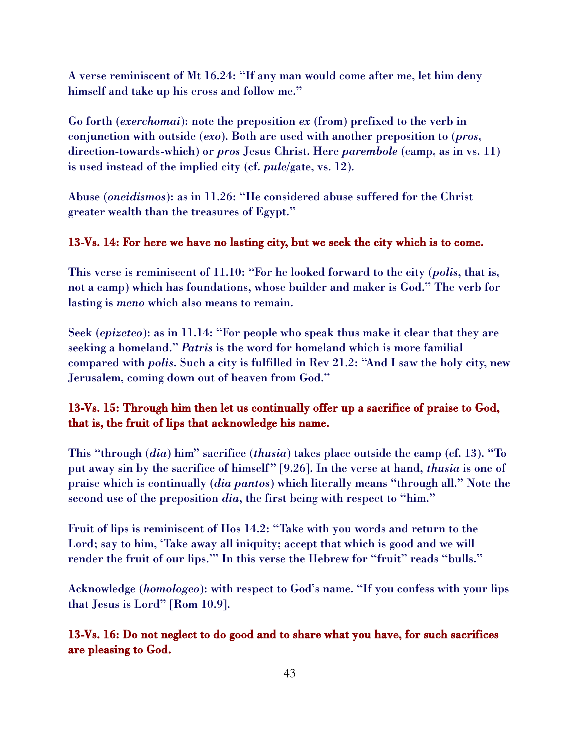A verse reminiscent of Mt 16.24: "If any man would come after me, let him deny himself and take up his cross and follow me."

Go forth (*exerchomai*): note the preposition *ex* (from) prefixed to the verb in conjunction with outside (*exo*). Both are used with another preposition to (*pros*, direction-towards-which) or *pros* Jesus Christ. Here *parembole* (camp, as in vs. 11) is used instead of the implied city (cf. *pule*/gate, vs. 12).

Abuse (*oneidismos*): as in 11.26: "He considered abuse suffered for the Christ greater wealth than the treasures of Egypt."

#### 13-Vs. 14: For here we have no lasting city, but we seek the city which is to come.

This verse is reminiscent of 11.10: "For he looked forward to the city (*polis*, that is, not a camp) which has foundations, whose builder and maker is God." The verb for lasting is *meno* which also means to remain.

Seek (*epizeteo*): as in 11.14: "For people who speak thus make it clear that they are seeking a homeland." *Patris* is the word for homeland which is more familial compared with *polis*. Such a city is fulfilled in Rev 21.2: "And I saw the holy city, new Jerusalem, coming down out of heaven from God."

## 13-Vs. 15: Through him then let us continually offer up a sacrifice of praise to God, that is, the fruit of lips that acknowledge his name.

This "through (*dia*) him" sacrifice (*thusia*) takes place outside the camp (cf. 13). "To put away sin by the sacrifice of himself" [9.26]. In the verse at hand, *thusia* is one of praise which is continually (*dia pantos*) which literally means "through all." Note the second use of the preposition *dia*, the first being with respect to "him."

Fruit of lips is reminiscent of Hos 14.2: "Take with you words and return to the Lord; say to him, 'Take away all iniquity; accept that which is good and we will render the fruit of our lips."" In this verse the Hebrew for "fruit" reads "bulls."

Acknowledge (*homologeo*): with respect to God's name. "If you confess with your lips that Jesus is Lord" [Rom 10.9].

13-Vs. 16: Do not neglect to do good and to share what you have, for such sacrifices are pleasing to God.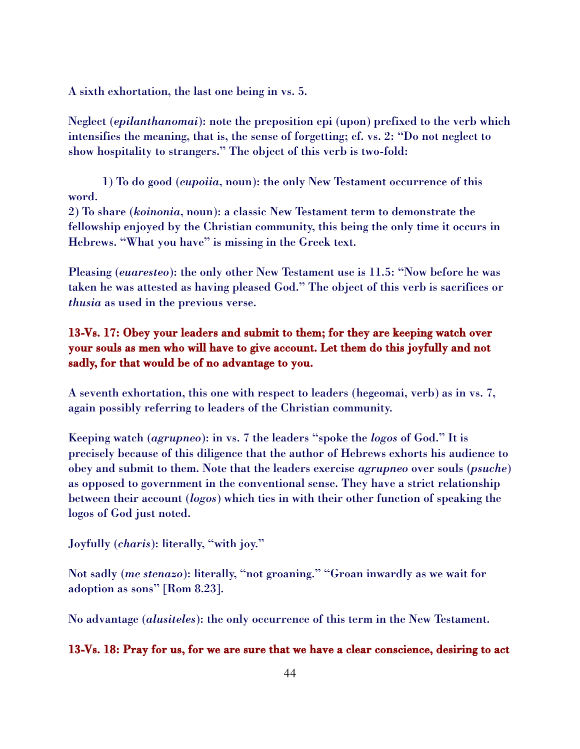A sixth exhortation, the last one being in vs. 5.

Neglect (*epilanthanomai*): note the preposition epi (upon) prefixed to the verb which intensifies the meaning, that is, the sense of forgetting; cf. vs. 2: "Do not neglect to show hospitality to strangers." The object of this verb is two-fold:

1) To do good (*eupoiia*, noun): the only New Testament occurrence of this word.

2) To share (*koinonia*, noun): a classic New Testament term to demonstrate the fellowship enjoyed by the Christian community, this being the only time it occurs in Hebrews. "What you have" is missing in the Greek text.

Pleasing (*euaresteo*): the only other New Testament use is 11.5: "Now before he was taken he was attested as having pleased God." The object of this verb is sacrifices or *thusia* as used in the previous verse.

## 13-Vs. 17: Obey your leaders and submit to them; for they are keeping watch over your souls as men who will have to give account. Let them do this joyfully and not sadly, for that would be of no advantage to you.

A seventh exhortation, this one with respect to leaders (hegeomai, verb) as in vs. 7, again possibly referring to leaders of the Christian community.

Keeping watch (*agrupneo*): in vs. 7 the leaders "spoke the *logos* of God." It is precisely because of this diligence that the author of Hebrews exhorts his audience to obey and submit to them. Note that the leaders exercise *agrupneo* over souls (*psuche*) as opposed to government in the conventional sense. They have a strict relationship between their account (*logos*) which ties in with their other function of speaking the logos of God just noted.

#### Joyfully (*charis*): literally, "with joy."

Not sadly (*me stenazo*): literally, "not groaning." "Groan inwardly as we wait for adoption as sons" [Rom 8.23].

No advantage (*alusiteles*): the only occurrence of this term in the New Testament.

#### 13-Vs. 18: Pray for us, for we are sure that we have a clear conscience, desiring to act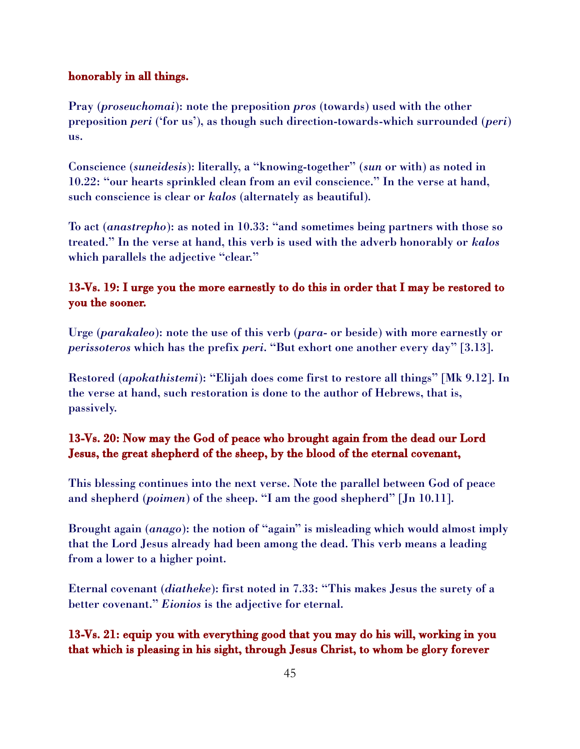#### honorably in all things.

Pray (*proseuchomai*): note the preposition *pros* (towards) used with the other preposition *peri* ('for us'), as though such direction-towards-which surrounded (*peri*) us.

Conscience (*suneidesis*): literally, a "knowing-together" (*sun* or with) as noted in 10.22: "our hearts sprinkled clean from an evil conscience." In the verse at hand, such conscience is clear or *kalos* (alternately as beautiful).

To act (*anastrepho*): as noted in 10.33: "and sometimes being partners with those so treated." In the verse at hand, this verb is used with the adverb honorably or *kalos* which parallels the adjective "clear."

## 13-Vs. 19: I urge you the more earnestly to do this in order that I may be restored to you the sooner.

Urge (*parakaleo*): note the use of this verb (*para*- or beside) with more earnestly or *perissoteros* which has the prefix *peri*. "But exhort one another every day" [3.13].

Restored (*apokathistemi*): "Elijah does come first to restore all things" [Mk 9.12]. In the verse at hand, such restoration is done to the author of Hebrews, that is, passively.

## 13-Vs. 20: Now may the God of peace who brought again from the dead our Lord Jesus, the great shepherd of the sheep, by the blood of the eternal covenant,

This blessing continues into the next verse. Note the parallel between God of peace and shepherd (*poimen*) of the sheep. "I am the good shepherd" [Jn 10.11].

Brought again (*anago*): the notion of "again" is misleading which would almost imply that the Lord Jesus already had been among the dead. This verb means a leading from a lower to a higher point.

Eternal covenant (*diatheke*): first noted in 7.33: "This makes Jesus the surety of a better covenant." *Eionios* is the adjective for eternal.

# 13-Vs. 21: equip you with everything good that you may do his will, working in you that which is pleasing in his sight, through Jesus Christ, to whom be glory forever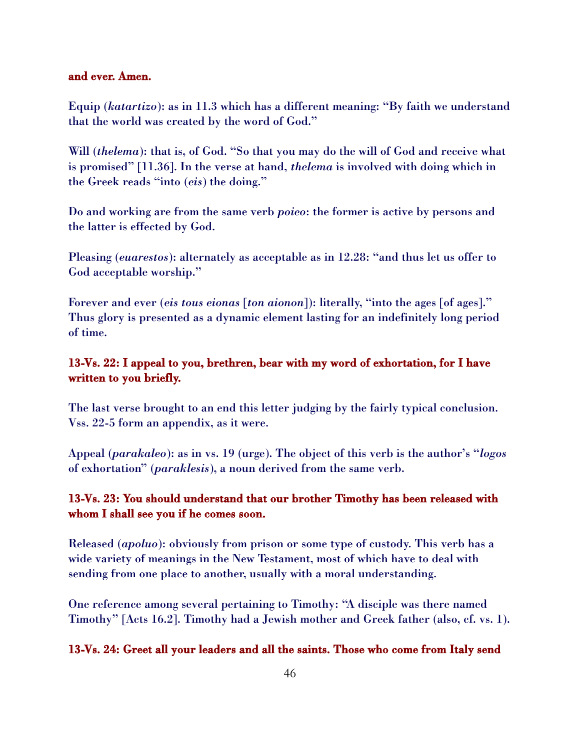#### and ever. Amen.

Equip (*katartizo*): as in 11.3 which has a different meaning: "By faith we understand that the world was created by the word of God."

Will *(thelema)*: that is, of God. "So that you may do the will of God and receive what is promised" [11.36]. In the verse at hand, *thelema* is involved with doing which in the Greek reads "into (*eis*) the doing."

Do and working are from the same verb *poieo*: the former is active by persons and the latter is effected by God.

Pleasing (*euarestos*): alternately as acceptable as in 12.28: "and thus let us offer to God acceptable worship."

Forever and ever (*eis tous eionas* [*ton aionon*]): literally, "into the ages [of ages]." Thus glory is presented as a dynamic element lasting for an indefinitely long period of time.

## 13-Vs. 22: I appeal to you, brethren, bear with my word of exhortation, for I have written to you briefly.

The last verse brought to an end this letter judging by the fairly typical conclusion. Vss. 22-5 form an appendix, as it were.

Appeal (*parakaleo*): as in vs. 19 (urge). The object of this verb is the author's "*logos* of exhortation" (*paraklesis*), a noun derived from the same verb.

## 13-Vs. 23: You should understand that our brother Timothy has been released with whom I shall see you if he comes soon.

Released (*apoluo*): obviously from prison or some type of custody. This verb has a wide variety of meanings in the New Testament, most of which have to deal with sending from one place to another, usually with a moral understanding.

One reference among several pertaining to Timothy: "A disciple was there named Timothy" [Acts 16.2]. Timothy had a Jewish mother and Greek father (also, cf. vs. 1).

#### 13-Vs. 24: Greet all your leaders and all the saints. Those who come from Italy send